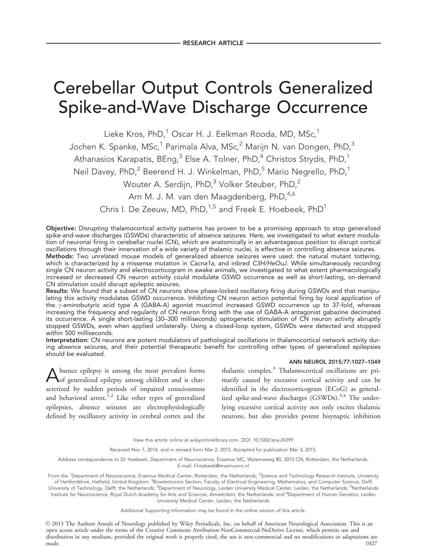# Cerebellar Output Controls Generalized Spike-and-Wave Discharge Occurrence

Lieke Kros, PhD,<sup>1</sup> Oscar H. J. Eelkman Rooda, MD, MSc,<sup>1</sup>

Jochen K. Spanke, MSc,<sup>1</sup> Parimala Alva, MSc,<sup>2</sup> Marijn N. van Dongen, PhD,<sup>3</sup>

Athanasios Karapatis, BEng, $^3$  Else A. Tolner, PhD, $^4$  Christos Strydis, PhD, $^1$ 

Neil Davey, PhD,<sup>2</sup> Beerend H. J. Winkelman, PhD,<sup>5</sup> Mario Negrello, PhD,<sup>1</sup>

Wouter A. Serdijn, PhD,<sup>3</sup> Volker Steuber, PhD,<sup>2</sup>

Arn M. J. M. van den Maagdenberg, PhD,<sup>4,6</sup>

Chris I. De Zeeuw, MD,  $PhD<sup>1,5</sup>$  and Freek E. Hoebeek,  $PhD<sup>1</sup>$ 

Objective: Disrupting thalamocortical activity patterns has proven to be a promising approach to stop generalized spike-and-wave discharges (GSWDs) characteristic of absence seizures. Here, we investigated to what extent modulation of neuronal firing in cerebellar nuclei (CN), which are anatomically in an advantageous position to disrupt cortical oscillations through their innervation of a wide variety of thalamic nuclei, is effective in controlling absence seizures. Methods: Two unrelated mouse models of generalized absence seizures were used: the natural mutant tottering, which is characterized by a missense mutation in Cacna1a, and inbred C3H/HeOuJ. While simultaneously recording single CN neuron activity and electrocorticogram in awake animals, we investigated to what extent pharmacologically increased or decreased CN neuron activity could modulate GSWD occurrence as well as short-lasting, on-demand

CN stimulation could disrupt epileptic seizures.

Results: We found that a subset of CN neurons show phase-locked oscillatory firing during GSWDs and that manipulating this activity modulates GSWD occurrence. Inhibiting CN neuron action potential firing by local application of the  $\gamma$ -aminobutyric acid type A (GABA-A) agonist muscimol increased GSWD occurrence up to 37-fold, whereas increasing the frequency and regularity of CN neuron firing with the use of GABA-A antagonist gabazine decimated its occurrence. A single short-lasting (30–300 milliseconds) optogenetic stimulation of CN neuron activity abruptly stopped GSWDs, even when applied unilaterally. Using a closed-loop system, GSWDs were detected and stopped within 500 milliseconds.

Interpretation: CN neurons are potent modulators of pathological oscillations in thalamocortical network activity during absence seizures, and their potential therapeutic benefit for controlling other types of generalized epilepsies should be evaluated.

#### ANN NEUROL 2015;77:1027–1049

Absence epilepsy is among the most prevalent forms of generalized epilepsy among children and is characterized by sudden periods of impaired consciousness and behavioral arrest.<sup>1,2</sup> Like other types of generalized epilepsies, absence seizures are electrophysiologically defined by oscillatory activity in cerebral cortex and the

thalamic complex.<sup>3</sup> Thalamocortical oscillations are primarily caused by excessive cortical activity and can be identified in the electrocorticogram (ECoG) as generalized spike-and-wave discharges (GSWDs).<sup>3,4</sup> The underlying excessive cortical activity not only excites thalamic neurons, but also provides potent bisynaptic inhibition

View this article online at wileyonlinelibrary.com. DOI: 10.1002/ana.24399

Received Nov 7, 2014, and in revised form Mar 2, 2015. Accepted for publication Mar 3, 2015.

Address correspondence to Dr Hoebeek, Department of Neuroscience, Erasmus MC, Wytemaweg 80, 3015 CN, Rotterdam, the Netherlands. E-mail: f.hoebeek@erasmusmc.nl

From the <sup>1</sup>Department of Neuroscience, Erasmus Medical Center, Rotterdam, the Netherlands; <sup>2</sup>Science and Technology Research Institute, University of Hertfordshire, Hatfield, United Kingdom; <sup>3</sup>Bioelectronics Section, Faculty of Electrical Engineering, Mathematics, and Computer Science, Delft University of Technology, Delft, the Netherlands; <sup>4</sup>Department of Neurology, Leiden University Medical Center, Leiden, the Netherlands; <sup>5</sup>Netherlands Institute for Neuroscience, Royal Dutch Academy for Arts and Sciences, Amsterdam, the Netherlands; and <sup>6</sup>Department of Human Genetics, Leiden

> University Medical Center, Leiden, the Netherlands Additional Supporting Information may be found in the online version of this article.

C 2015 The Authors Annals of Neurology published by Wiley Periodicals, Inc. on behalf of American Neurological Association. This is an open access article under the terms of the Creative Commons Attribution-NonCommercial-NoDerivs License, which permits use and distribution in any medium, provided the original work is properly cited, the use is non-commercial and no modifications or adaptations are made. 1027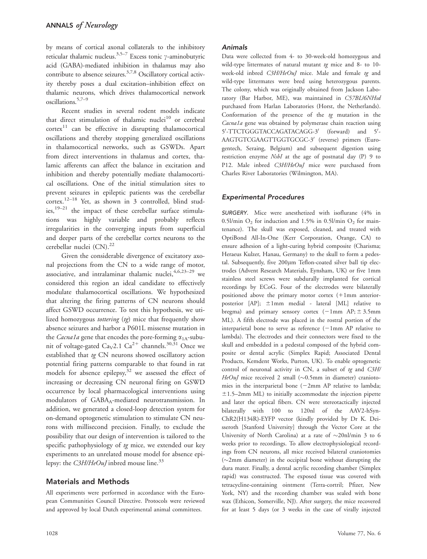by means of cortical axonal collaterals to the inhibitory reticular thalamic nucleus.<sup>3,5–7</sup> Excess tonic  $\gamma$ -aminobutyric acid (GABA)-mediated inhibition in thalamus may also contribute to absence seizures.<sup>3,7,8</sup> Oscillatory cortical activity thereby poses a dual excitation–inhibition effect on thalamic neurons, which drives thalamocortical network oscillations.5,7–9

Recent studies in several rodent models indicate that direct stimulation of thalamic nuclei<sup>10</sup> or cerebral  $cortex<sup>11</sup>$  can be effective in disrupting thalamocortical oscillations and thereby stopping generalized oscillations in thalamocortical networks, such as GSWDs. Apart from direct interventions in thalamus and cortex, thalamic afferents can affect the balance in excitation and inhibition and thereby potentially mediate thalamocortical oscillations. One of the initial stimulation sites to prevent seizures in epileptic patients was the cerebellar  $\arccos(12-18)$  Yet, as shown in 3 controlled, blind stud $ies, <sup>19–21</sup>$  the impact of these cerebellar surface stimulations was highly variable and probably reflects irregularities in the converging inputs from superficial and deeper parts of the cerebellar cortex neurons to the cerebellar nuclei  $(CN)^{22}$ 

Given the considerable divergence of excitatory axonal projections from the CN to a wide range of motor, associative, and intralaminar thalamic nuclei,  $4,6,23-29$  we considered this region an ideal candidate to effectively modulate thalamocortical oscillations. We hypothesized that altering the firing patterns of CN neurons should affect GSWD occurrence. To test this hypothesis, we utilized homozygous tottering (tg) mice that frequently show absence seizures and harbor a P601L missense mutation in the *Cacna1a* gene that encodes the pore-forming  $\alpha_{1A}$ -subunit of voltage-gated Ca<sub>V</sub>2.1 Ca<sup>2+</sup> channels.<sup>30,31</sup> Once we established that tg CN neurons showed oscillatory action potential firing patterns comparable to that found in rat models for absence epilepsy, $32$  we assessed the effect of increasing or decreasing CN neuronal firing on GSWD occurrence by local pharmacological interventions using modulators of GABA<sub>A</sub>-mediated neurotransmission. In addition, we generated a closed-loop detection system for on-demand optogenetic stimulation to stimulate CN neurons with millisecond precision. Finally, to exclude the possibility that our design of intervention is tailored to the specific pathophysiology of tg mice, we extended our key experiments to an unrelated mouse model for absence epilepsy: the  $C3H/HeOu/$  inbred mouse line.<sup>33</sup>

# Materials and Methods

All experiments were performed in accordance with the European Communities Council Directive. Protocols were reviewed and approved by local Dutch experimental animal committees.

#### Animals

Data were collected from 4- to 30-week-old homozygous and wild-type littermates of natural mutant tg mice and 8- to 10week-old inbred C3H/HeOuJ mice. Male and female tg and wild-type littermates were bred using heterozygous parents. The colony, which was originally obtained from Jackson Laboratory (Bar Harbor, ME), was maintained in C57BL/6NHsd purchased from Harlan Laboratories (Horst, the Netherlands). Conformation of the presence of the  $tg$  mutation in the Cacna1a gene was obtained by polymerase chain reaction using 5'-TTCTGGGTACCAGATACAGG-3' (forward) and 5'-AAGTGTCGAAGTTGGTGCGC-3' (reverse) primers (Eurogentech, Seraing, Belgium) and subsequent digestion using restriction enzyme NsbI at the age of postnatal day (P) 9 to P12. Male inbred C3H/HeOuJ mice were purchased from Charles River Laboratories (Wilmington, MA).

## Experimental Procedures

SURGERY. Mice were anesthetized with isoflurane (4% in 0.5l/min  $O_2$  for induction and 1.5% in 0.5l/min  $O_2$  for maintenance). The skull was exposed, cleaned, and treated with OptiBond All-In-One (Kerr Corporation, Orange, CA) to ensure adhesion of a light-curing hybrid composite (Charisma; Heraeus Kulzer, Hanau, Germany) to the skull to form a pedestal. Subsequently, five  $200 \mu m$  Teflon-coated silver ball tip electrodes (Advent Research Materials, Eynsham, UK) or five 1mm stainless steel screws were subdurally implanted for cortical recordings by ECoG. Four of the electrodes were bilaterally positioned above the primary motor cortex  $(+1<sub>mm</sub>$  anteriorposterior [AP];  $\pm 1$ mm medial - lateral [ML] relative to bregma) and primary sensory cortex  $(-1<sub>mm</sub> AP; ± 3.5<sub>mm</sub>)$ ML). A fifth electrode was placed in the rostral portion of the interparietal bone to serve as reference  $(-1<sub>mm</sub> A<sub>P</sub>)$  relative to lambda). The electrodes and their connectors were fixed to the skull and embedded in a pedestal composed of the hybrid composite or dental acrylic (Simplex Rapid; Associated Dental Products, Kemdent Works, Purton, UK). To enable optogenetic control of neuronal activity in CN, a subset of tg and C3H/ HeOuJ mice received 2 small ( $\sim$ 0.5mm in diameter) craniotomies in the interparietal bone  $(-2mm$  AP relative to lambda;  $\pm$ 1.5–2mm ML) to initially accommodate the injection pipette and later the optical fibers. CN were stereotactically injected bilaterally with 100 to 120nl of the AAV2-hSyn-ChR2(H134R)-EYFP vector (kindly provided by Dr K. Deisseroth [Stanford University] through the Vector Core at the University of North Carolina) at a rate of  $\sim$ 20nl/min 3 to 6 weeks prior to recordings. To allow electrophysiological recordings from CN neurons, all mice received bilateral craniotomies  $(\sim 2 \text{mm}$  diameter) in the occipital bone without disrupting the dura mater. Finally, a dental acrylic recording chamber (Simplex rapid) was constructed. The exposed tissue was covered with tetracycline-containing ointment (Terra-cortril; Pfizer, New York, NY) and the recording chamber was sealed with bone wax (Ethicon, Somerville, NJ). After surgery, the mice recovered for at least 5 days (or 3 weeks in the case of virally injected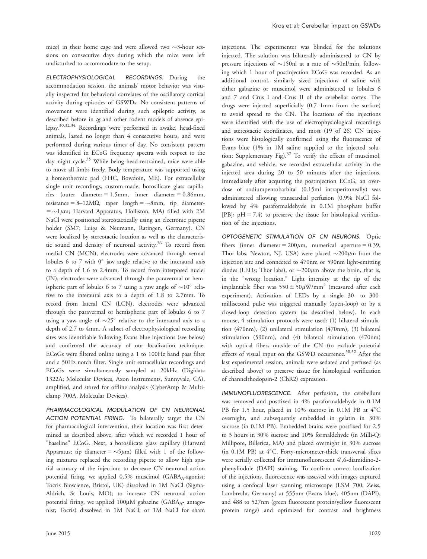mice) in their home cage and were allowed two  $\sim$ 3-hour sessions on consecutive days during which the mice were left undisturbed to accommodate to the setup.

ELECTROPHYSIOLOGICAL RECORDINGS. During the accommodation session, the animals' motor behavior was visually inspected for behavioral correlates of the oscillatory cortical activity during episodes of GSWDs. No consistent patterns of movement were identified during such epileptic activity, as described before in tg and other rodent models of absence epilepsy.30,32,34 Recordings were performed in awake, head-fixed animals, lasted no longer than 4 consecutive hours, and were performed during various times of day. No consistent pattern was identified in ECoG frequency spectra with respect to the day–night cycle.<sup>35</sup> While being head-restrained, mice were able to move all limbs freely. Body temperature was supported using a homeothermic pad (FHC, Bowdoin, ME). For extracellular single unit recordings, custom-made, borosilicate glass capillaries (outer diameter  $= 1.5$ mm, inner diameter  $= 0.86$ mm, resistance =  $8-12M\Omega$ , taper length =  $\sim$ 8mm, tip diameter- $=$  ~1 $\mu$ m; Harvard Apparatus, Holliston, MA) filled with 2M NaCl were positioned stereotactically using an electronic pipette holder (SM7; Luigs & Neumann, Ratingen, Germany). CN were localized by stereotactic location as well as the characteristic sound and density of neuronal activity.<sup>36</sup> To record from medial CN (MCN), electrodes were advanced through vermal lobules 6 to 7 with  $0^{\circ}$  jaw angle relative to the interaural axis to a depth of 1.6 to 2.4mm. To record from interposed nuclei (IN), electrodes were advanced through the paravermal or hemispheric part of lobules 6 to 7 using a yaw angle of  $\sim 10^{\circ}$  relative to the interaural axis to a depth of 1.8 to 2.7mm. To record from lateral CN (LCN), electrodes were advanced through the paravermal or hemispheric part of lobules 6 to 7 using a yaw angle of  $\sim$ 25° relative to the interaural axis to a depth of 2.7 to 4mm. A subset of electrophysiological recording sites was identifiable following Evans blue injections (see below) and confirmed the accuracy of our localization technique. ECoGs were filtered online using a 1 to 100Hz band pass filter and a 50Hz notch filter. Single unit extracellular recordings and ECoGs were simultaneously sampled at 20kHz (Digidata 1322A; Molecular Devices, Axon Instruments, Sunnyvale, CA), amplified, and stored for offline analysis (CyberAmp & Multiclamp 700A, Molecular Devices).

PHARMACOLOGICAL MODULATION OF CN NEURONAL ACTION POTENTIAL FIRING. To bilaterally target the CN for pharmacological intervention, their location was first determined as described above, after which we recorded 1 hour of "baseline" ECoG. Next, a borosilicate glass capillary (Harvard Apparatus; tip diameter =  $\sim$ 5 $\mu$ m) filled with 1 of the following mixtures replaced the recording pipette to allow high spatial accuracy of the injection: to decrease CN neuronal action potential firing, we applied 0.5% muscimol (GABAA-agonist; Tocris Bioscience, Bristol, UK) dissolved in 1M NaCl (Sigma-Aldrich, St Louis, MO); to increase CN neuronal action potential firing, we applied  $100\mu$ M gabazine (GABA<sub>A</sub>- antagonist; Tocris) dissolved in 1M NaCl; or 1M NaCl for sham

injections. The experimenter was blinded for the solutions injected. The solution was bilaterally administered to CN by pressure injections of  $\sim$ 150nl at a rate of  $\sim$ 50nl/min, following which 1 hour of postinjection ECoG was recorded. As an additional control, similarly sized injections of saline with either gabazine or muscimol were administered to lobules 6 and 7 and Crus I and Crus II of the cerebellar cortex. The drugs were injected superficially (0.7–1mm from the surface) to avoid spread to the CN. The locations of the injections were identified with the use of electrophysiological recordings and stereotactic coordinates, and most (19 of 26) CN injections were histologically confirmed using the fluorescence of Evans blue (1% in 1M saline supplied to the injected solution; Supplementary Fig). $37$  To verify the effects of muscimol, gabazine, and vehicle, we recorded extracellular activity in the injected area during 20 to 50 minutes after the injections. Immediately after acquiring the postinjection ECoG, an overdose of sodiumpentobarbital (0.15ml intraperitoneally) was administered allowing transcardial perfusion (0.9% NaCl followed by 4% paraformaldehyde in 0.1M phosphate buffer [PB];  $pH = 7.4$ ) to preserve the tissue for histological verification of the injections.

OPTOGENETIC STIMULATION OF CN NEURONS. Optic fibers (inner diameter =  $200 \mu m$ , numerical aperture = 0.39; Thor labs, Newton, NJ, USA) were placed  $\sim$ 200 $\mu$ m from the injection site and connected to 470nm or 590nm light-emitting diodes (LEDs; Thor labs), or  $\sim 200 \mu m$  above the brain, that is, in the "wrong location." Light intensity at the tip of the implantable fiber was  $550 \pm 50 \mu$ W/mm<sup>2</sup> (measured after each experiment). Activation of LEDs by a single 30- to 300 millisecond pulse was triggered manually (open-loop) or by a closed-loop detection system (as described below). In each mouse, 4 stimulation protocols were used: (1) bilateral stimulation (470nm), (2) unilateral stimulation (470nm), (3) bilateral stimulation (590nm), and (4) bilateral stimulation (470nm) with optical fibers outside of the CN (to exclude potential effects of visual input on the GSWD occurrence.<sup>30,32</sup> After the last experimental session, animals were sedated and perfused (as described above) to preserve tissue for histological verification of channelrhodopsin-2 (ChR2) expression.

IMMUNOFLUORESCENCE. After perfusion, the cerebellum was removed and postfixed in 4% paraformaldehyde in 0.1M PB for 1.5 hour, placed in 10% sucrose in 0.1M PB at 4°C overnight, and subsequently embedded in gelatin in 30% sucrose (in 0.1M PB). Embedded brains were postfixed for 2.5 to 3 hours in 30% sucrose and 10% formaldehyde (in Milli-Q; Millipore, Billerica, MA) and placed overnight in 30% sucrose (in  $0.1M$  PB) at  $4^{\circ}$ C. Forty-micrometer-thick transversal slices were serially collected for immunofluorescent 4',6-diamidino-2phenylindole (DAPI) staining. To confirm correct localization of the injections, fluorescence was assessed with images captured using a confocal laser scanning microscope (LSM 700; Zeiss, Lambrecht, Germany) at 555nm (Evans blue), 405nm (DAPI), and 488 to 527nm (green fluorescent protein/yellow fluorescent protein range) and optimized for contrast and brightness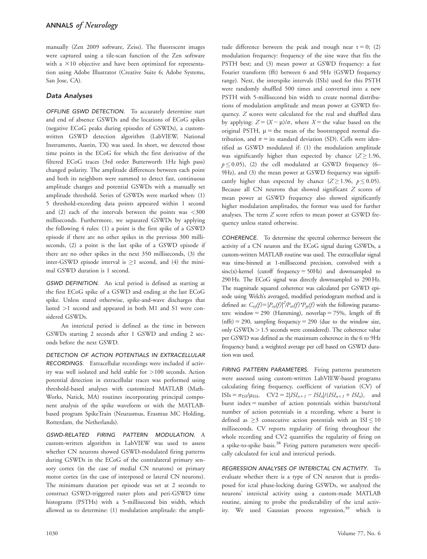manually (Zen 2009 software, Zeiss). The fluorescent images were captured using a tile-scan function of the Zen software with a  $\times 10$  objective and have been optimized for representation using Adobe Illustrator (Creative Suite 6; Adobe Systems, San Jose, CA).

## Data Analyses

OFFLINE GSWD DETECTION. To accurately determine start and end of absence GSWDs and the locations of ECoG spikes (negative ECoG peaks during episodes of GSWDs), a customwritten GSWD detection algorithm (LabVIEW, National Instruments, Austin, TX) was used. In short, we detected those time points in the ECoG for which the first derivative of the filtered ECoG traces (3rd order Butterworth 1Hz high pass) changed polarity. The amplitude differences between each point and both its neighbors were summed to detect fast, continuous amplitude changes and potential GSWDs with a manually set amplitude threshold. Series of GSWDs were marked when: (1) 5 threshold-exceeding data points appeared within 1 second and  $(2)$  each of the intervals between the points was  $\langle 300 \rangle$ milliseconds. Furthermore, we separated GSWDs by applying the following 4 rules: (1) a point is the first spike of a GSWD episode if there are no other spikes in the previous 300 milliseconds, (2) a point is the last spike of a GSWD episode if there are no other spikes in the next 350 milliseconds, (3) the inter-GSWD episode interval is  $\geq 1$  second, and (4) the minimal GSWD duration is 1 second.

GSWD DEFINITION. An ictal period is defined as starting at the first ECoG spike of a GSWD and ending at the last ECoG spike. Unless stated otherwise, spike-and-wave discharges that lasted >1 second and appeared in both M1 and S1 were considered GSWDs.

An interictal period is defined as the time in between GSWDs starting 2 seconds after 1 GSWD and ending 2 seconds before the next GSWD.

DETECTION OF ACTION POTENTIALS IN EXTRACELLULAR RECORDINGS. Extracellular recordings were included if activity was well isolated and held stable for >100 seconds. Action potential detection in extracellular traces was performed using threshold-based analyses with customized MATLAB (Math-Works, Natick, MA) routines incorporating principal component analysis of the spike waveform or with the MATLABbased program SpikeTrain (Neurasmus, Erasmus MC Holding, Rotterdam, the Netherlands).

GSWD-RELATED FIRING PATTERN MODULATION. A custom-written algorithm in LabVIEW was used to assess whether CN neurons showed GSWD-modulated firing patterns during GSWDs in the ECoG of the contralateral primary sensory cortex (in the case of medial CN neurons) or primary motor cortex (in the case of interposed or lateral CN neurons). The minimum duration per episode was set at 2 seconds to construct GSWD-triggered raster plots and peri-GSWD time histograms (PSTHs) with a 5-millisecond bin width, which allowed us to determine: (1) modulation amplitude: the amplitude difference between the peak and trough near  $t = 0$ ; (2) modulation frequency: frequency of the sine wave that fits the PSTH best; and (3) mean power at GSWD frequency: a fast Fourier transform (fft) between 6 and 9Hz (GSWD frequency range). Next, the interspike intervals (ISIs) used for this PSTH were randomly shuffled 500 times and converted into a new PSTH with 5-millisecond bin width to create normal distributions of modulation amplitude and mean power at GSWD frequency. Z scores were calculated for the real and shuffled data by applying:  $Z = (X - \mu)/\sigma$ , where  $X =$  the value based on the original PSTH,  $\mu$  = the mean of the bootstrapped normal distribution, and  $\sigma$  = its standard deviation (SD). Cells were identified as GSWD modulated if: (1) the modulation amplitude was significantly higher than expected by chance  $(Z \ge 1.96$ ,  $p \le 0.05$ ), (2) the cell modulated at GSWD frequency (6– 9Hz), and (3) the mean power at GSWD frequency was significantly higher than expected by chance ( $Z \ge 1.96$ ,  $p \le 0.05$ ). Because all CN neurons that showed significant Z scores of mean power at GSWD frequency also showed significantly higher modulation amplitudes, the former was used for further analyses. The term Z score refers to mean power at GSWD frequency unless stated otherwise.

COHERENCE. To determine the spectral coherence between the activity of a CN neuron and the ECoG signal during GSWDs, a custom-written MATLAB routine was used. The extracellular signal was time-binned at 1-millisecond precision, convolved with a  $sinc(x)$ -kernel (cutoff frequency = 50Hz) and downsampled to 290 Hz. The ECoG signal was directly downsampled to 290 Hz. The magnitude squared coherence was calculated per GSWD episode using Welch's averaged, modified periodogram method and is defined as:  $C_{xy}(f) = |P_{xy}(f)|^2 / P_{xx}(f) \cdot P_{yy}(f)$  with the following parameters: window = 290 (Hamming), noverlap = 75%, length of fft  $(nfft) = 290$ , sampling frequency = 290 (due to the window size, only GSWDs> 1.5 seconds were considered). The coherence value per GSWD was defined as the maximum coherence in the 6 to 9Hz frequency band; a weighted average per cell based on GSWD duration was used.

FIRING PATTERN PARAMETERS. Firing patterns parameters were assessed using custom-written LabVIEW-based programs calculating firing frequency, coefficient of variation (CV) of  $ISIs = \sigma_{ISI}/\mu_{ISI}$ ,  $CV2 = 2|ISI_{n+1} - ISI_n|/(ISI_{n+1} + ISI_n)$ , and burst index  $=$  number of action potentials within bursts/total number of action potentials in a recording, where a burst is defined as  $\geq$ 3 consecutive action potentials with an ISI  $\leq$  10 milliseconds. CV reports regularity of firing throughout the whole recording and CV2 quantifies the regularity of firing on a spike-to-spike basis.<sup>38</sup> Firing pattern parameters were specifically calculated for ictal and interictal periods.

REGRESSION ANALYSES OF INTERICTAL CN ACTIVITY. To evaluate whether there is a type of CN neuron that is predisposed for ictal phase-locking during GSWDs, we analyzed the neurons' interictal activity using a custom-made MATLAB routine, aiming to probe the predictability of the ictal activity. We used Gaussian process regression,<sup>39</sup> which is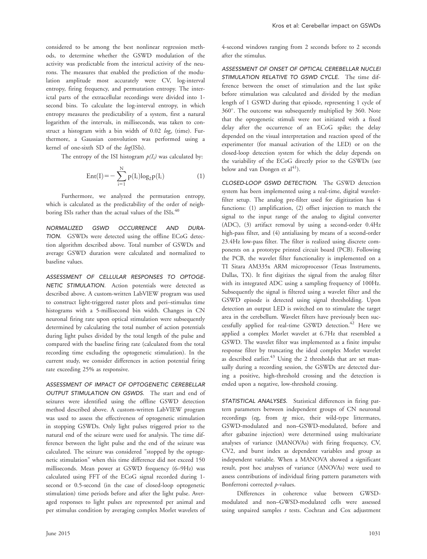considered to be among the best nonlinear regression methods, to determine whether the GSWD modulation of the activity was predictable from the interictal activity of the neurons. The measures that enabled the prediction of the modulation amplitude most accurately were CV, log-interval entropy, firing frequency, and permutation entropy. The interictal parts of the extracellular recordings were divided into 1 second bins. To calculate the log-interval entropy, in which entropy measures the predictability of a system, first a natural logarithm of the intervals, in milliseconds, was taken to construct a histogram with a bin width of 0.02  $log_e$  (time). Furthermore, a Gaussian convolution was performed using a kernel of one-sixth SD of the log(ISIs).

The entropy of the ISI histogram  $p(I_i)$  was calculated by:

$$
Ent(I) = -\sum_{i=1}^{N} p(I_i) \log_2 p(I_i)
$$
 (1)

Furthermore, we analyzed the permutation entropy, which is calculated as the predictability of the order of neighboring ISIs rather than the actual values of the ISIs.<sup>40</sup>

NORMALIZED GSWD OCCURRENCE AND DURA-TION. GSWDs were detected using the offline ECoG detection algorithm described above. Total number of GSWDs and average GSWD duration were calculated and normalized to baseline values.

ASSESSMENT OF CELLULAR RESPONSES TO OPTOGE-NETIC STIMULATION. Action potentials were detected as described above. A custom-written LabVIEW program was used to construct light-triggered raster plots and peri–stimulus time histograms with a 5-millisecond bin width. Changes in CN neuronal firing rate upon optical stimulation were subsequently determined by calculating the total number of action potentials during light pulses divided by the total length of the pulse and compared with the baseline firing rate (calculated from the total recording time excluding the optogenetic stimulation). In the current study, we consider differences in action potential firing rate exceeding 25% as responsive.

ASSESSMENT OF IMPACT OF OPTOGENETIC CEREBELLAR OUTPUT STIMULATION ON GSWDS. The start and end of seizures were identified using the offline GSWD detection method described above. A custom-written LabVIEW program was used to assess the effectiveness of optogenetic stimulation in stopping GSWDs. Only light pulses triggered prior to the natural end of the seizure were used for analysis. The time difference between the light pulse and the end of the seizure was calculated. The seizure was considered "stopped by the optogenetic stimulation" when this time difference did not exceed 150 milliseconds. Mean power at GSWD frequency (6–9Hz) was calculated using FFT of the ECoG signal recorded during 1 second or 0.5-second (in the case of closed-loop optogenetic stimulation) time periods before and after the light pulse. Averaged responses to light pulses are represented per animal and per stimulus condition by averaging complex Morlet wavelets of 4-second windows ranging from 2 seconds before to 2 seconds after the stimulus.

ASSESSMENT OF ONSET OF OPTICAL CEREBELLAR NUCLEI STIMULATION RELATIVE TO GSWD CYCLE. The time difference between the onset of stimulation and the last spike before stimulation was calculated and divided by the median length of 1 GSWD during that episode, representing 1 cycle of 360. The outcome was subsequently multiplied by 360. Note that the optogenetic stimuli were not initiated with a fixed delay after the occurrence of an ECoG spike; the delay depended on the visual interpretation and reaction speed of the experimenter (for manual activation of the LED) or on the closed-loop detection system for which the delay depends on the variability of the ECoG directly prior to the GSWDs (see below and van Dongen et  $al<sup>41</sup>$ ).

CLOSED-LOOP GSWD DETECTION. The GSWD detection system has been implemented using a real-time, digital waveletfilter setup. The analog pre-filter used for digitization has 4 functions: (1) amplification, (2) offset injection to match the signal to the input range of the analog to digital converter (ADC), (3) artifact removal by using a second-order 0.4Hz high-pass filter, and (4) antialiasing by means of a second-order 23.4Hz low-pass filter. The filter is realized using discrete components on a prototype printed circuit board (PCB). Following the PCB, the wavelet filter functionality is implemented on a TI Sitara AM335x ARM microprocessor (Texas Instruments, Dallas, TX). It first digitizes the signal from the analog filter with its integrated ADC using a sampling frequency of 100Hz. Subsequently the signal is filtered using a wavelet filter and the GSWD episode is detected using signal thresholding. Upon detection an output LED is switched on to stimulate the target area in the cerebellum. Wavelet filters have previously been successfully applied for real-time GSWD detection.<sup>42</sup> Here we applied a complex Morlet wavelet at 6.7Hz that resembled a GSWD. The wavelet filter was implemented as a finite impulse response filter by truncating the ideal complex Morlet wavelet as described earlier.<sup>43</sup> Using the 2 thresholds that are set manually during a recording session, the GSWDs are detected during a positive, high-threshold crossing and the detection is ended upon a negative, low-threshold crossing.

STATISTICAL ANALYSES. Statistical differences in firing pattern parameters between independent groups of CN neuronal recordings (eg, from tg mice, their wild-type littermates, GSWD-modulated and non–GSWD-modulated, before and after gabazine injection) were determined using multivariate analyses of variance (MANOVAs) with firing frequency, CV, CV2, and burst index as dependent variables and group as independent variable. When a MANOVA showed a significant result, post hoc analyses of variance (ANOVAs) were used to assess contributions of individual firing pattern parameters with Bonferroni corrected p-values.

Differences in coherence value between GWSDmodulated and non–GWSD-modulated cells were assessed using unpaired samples  $t$  tests. Cochran and Cox adjustment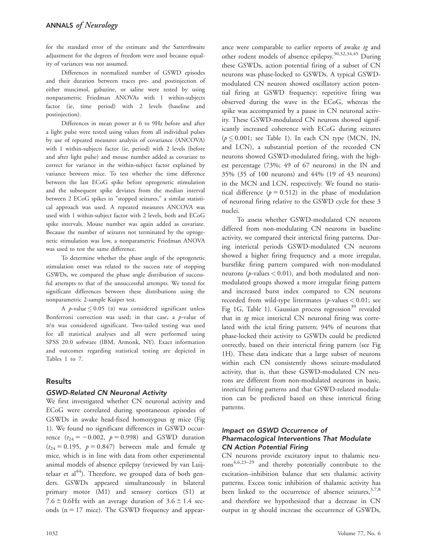for the standard error of the estimate and the Satterthwaite adjustment for the degrees of freedom were used because equality of variances was not assumed.

Differences in normalized number of GSWD episodes and their duration between traces pre- and postinjection of either muscimol, gabazine, or saline were tested by using nonparametric Friedman ANOVAs with 1 within-subjects factor (ie, time period) with 2 levels (baseline and postinjection).

Differences in mean power at 6 to 9Hz before and after a light pulse were tested using values from all individual pulses by use of repeated measures analysis of covariance (ANCOVA) with 1 within-subjects factor (ie, period) with 2 levels (before and after light pulse) and mouse number added as covariate to correct for variance in the within-subject factor explained by variance between mice. To test whether the time difference between the last ECoG spike before optogenetic stimulation and the subsequent spike deviates from the median interval between 2 ECoG spikes in "stopped seizures," a similar statistical approach was used. A repeated measures ANCOVA was used with 1 within-subject factor with 2 levels, both and ECoG spike intervals. Mouse number was again added as covariate. Because the number of seizures not terminated by the optogenetic stimulation was low, a nonparametric Friedman ANOVA was used to test the same difference.

To determine whether the phase angle of the optogenetic stimulation onset was related to the success rate of stopping GSWDs, we compared the phase angle distribution of successful attempts to that of the unsuccessful attempts. We tested for significant differences between these distributions using the nonparametric 2-sample Kuiper test.

A *p*-value  $\leq 0.05$  ( $\alpha$ ) was considered significant unless Bonferroni correction was used; in that case, a  $p$ -value of a/n was considered significant. Two-tailed testing was used for all statistical analyses and all were performed using SPSS 20.0 software (IBM, Armonk, NY). Exact information and outcomes regarding statistical testing are depicted in Tables 1 to 7.

# Results

# GSWD-Related CN Neuronal Activity

We first investigated whether CN neuronal activity and ECoG were correlated during spontaneous episodes of GSWDs in awake head-fixed homozygous tg mice (Fig 1). We found no significant differences in GSWD occurrence  $(t_{24} = -0.002, p = 0.998)$  and GSWD duration  $(t_{24} = 0.195, p = 0.847)$  between male and female tg mice, which is in line with data from other experimental animal models of absence epilepsy (reviewed by van Luijtelaar et al $44$ ). Therefore, we grouped data of both genders. GSWDs appeared simultaneously in bilateral primary motor (M1) and sensory cortices (S1) at 7.6  $\pm$  0.6Hz with an average duration of 3.6  $\pm$  1.4 seconds ( $n = 17$  mice). The GSWD frequency and appear-

other rodent models of absence epilepsy.30,32,34,45 During these GSWDs, action potential firing of a subset of CN neurons was phase-locked to GSWDs. A typical GSWDmodulated CN neuron showed oscillatory action potential firing at GSWD frequency; repetitive firing was observed during the wave in the ECoG, whereas the spike was accompanied by a pause in CN neuronal activity. These GSWD-modulated CN neurons showed significantly increased coherence with ECoG during seizures  $(p \le 0.001$ ; see Table 1). In each CN type (MCN, IN, and LCN), a substantial portion of the recorded CN neurons showed GSWD-modulated firing, with the highest percentage (73%; 49 of 67 neurons) in the IN and 35% (35 of 100 neurons) and 44% (19 of 43 neurons) in the MCN and LCN, respectively. We found no statistical difference  $(p = 0.512)$  in the phase of modulation of neuronal firing relative to the GSWD cycle for these 3 nuclei.

ance were comparable to earlier reports of awake tg and

To assess whether GSWD-modulated CN neurons differed from non-modulating CN neurons in baseline activity, we compared their interictal firing patterns. During interictal periods GSWD-modulated CN neurons showed a higher firing frequency and a more irregular, burstlike firing pattern compared with non-modulated neurons ( $p$ -values  $< 0.01$ ), and both modulated and nonmodulated groups showed a more irregular firing pattern and increased burst index compared to CN neurons recorded from wild-type littermates (p-values < 0.01; see Fig 1G, Table 1). Gaussian process regression<sup>39</sup> revealed that in tg mice interictal CN neuronal firing was correlated with the ictal firing pattern; 94% of neurons that phase-locked their activity to GSWDs could be predicted correctly, based on their interictal firing pattern (see Fig 1H). These data indicate that a large subset of neurons within each CN consistently shows seizure-modulated activity, that is, that these GSWD-modulated CN neurons are different from non-modulated neurons in basic, interictal firing patterns and that GSWD-related modulation can be predicted based on these interictal firing patterns.

# Impact on GSWD Occurrence of Pharmacological Interventions That Modulate CN Action Potential Firing

CN neurons provide excitatory input to thalamic neu $rons^{4,6,23-29}$  and thereby potentially contribute to the excitation–inhibition balance that sets thalamic activity patterns. Excess tonic inhibition of thalamic activity has been linked to the occurrence of absence seizures,  $3,7,8$ and therefore we hypothesized that a decrease in CN output in  $tq$  should increase the occurrence of GSWDs,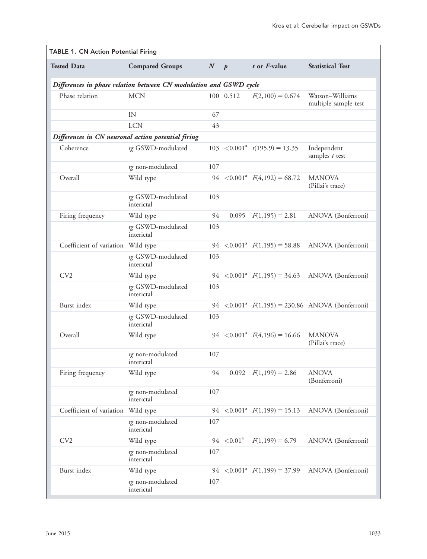|                                                    | <b>TABLE 1. CN Action Potential Firing</b>                         |         |                 |                                                |                                                               |  |  |  |
|----------------------------------------------------|--------------------------------------------------------------------|---------|-----------------|------------------------------------------------|---------------------------------------------------------------|--|--|--|
| <b>Tested Data</b>                                 | <b>Compared Groups</b>                                             | $N$ $p$ |                 | t or F-value                                   | <b>Statistical Test</b>                                       |  |  |  |
|                                                    | Differences in phase relation between CN modulation and GSWD cycle |         |                 |                                                |                                                               |  |  |  |
| Phase relation                                     | <b>MCN</b>                                                         |         | 100 0.512       | $F(2,100) = 0.674$                             | Watson-Williams<br>multiple sample test                       |  |  |  |
|                                                    | IN                                                                 | 67      |                 |                                                |                                                               |  |  |  |
|                                                    | <b>LCN</b>                                                         | 43      |                 |                                                |                                                               |  |  |  |
| Differences in CN neuronal action potential firing |                                                                    |         |                 |                                                |                                                               |  |  |  |
| Coherence                                          | tg GSWD-modulated                                                  |         |                 | $103 \le 0.001^a$ $t(195.9) = 13.35$           | Independent<br>samples $t$ test                               |  |  |  |
|                                                    | tg non-modulated                                                   | 107     |                 |                                                |                                                               |  |  |  |
| Overall                                            | Wild type                                                          |         |                 | 94 $\langle 0.001^a \ F(4,192) = 68.72$        | <b>MANOVA</b><br>(Pillai's trace)                             |  |  |  |
|                                                    | tg GSWD-modulated<br>interictal                                    | 103     |                 |                                                |                                                               |  |  |  |
| Firing frequency                                   | Wild type                                                          | 94      | 0.095           | $F(1,195) = 2.81$                              | ANOVA (Bonferroni)                                            |  |  |  |
|                                                    | tg GSWD-modulated<br>interictal                                    | 103     |                 |                                                |                                                               |  |  |  |
| Coefficient of variation Wild type                 |                                                                    |         |                 | 94 $\lt$ 0.001 <sup>a</sup> $F(1,195) = 58.88$ | ANOVA (Bonferroni)                                            |  |  |  |
|                                                    | tg GSWD-modulated<br>interictal                                    | 103     |                 |                                                |                                                               |  |  |  |
| CV <sub>2</sub>                                    | Wild type                                                          |         |                 | 94 $\lt$ 0.001 <sup>a</sup> $F(1,195) = 34.63$ | ANOVA (Bonferroni)                                            |  |  |  |
|                                                    | tg GSWD-modulated<br>interictal                                    | 103     |                 |                                                |                                                               |  |  |  |
| Burst index                                        | Wild type                                                          |         |                 |                                                | 94 $\langle 0.001^a \ F(1,195) = 230.86 \ ANOVA (Bonferroni)$ |  |  |  |
|                                                    | tg GSWD-modulated<br>interictal                                    | 103     |                 |                                                |                                                               |  |  |  |
| Overall                                            | Wild type                                                          |         |                 |                                                | <b>MANOVA</b><br>(Pillai's trace)                             |  |  |  |
|                                                    | tg non-modulated<br>interictal                                     | 107     |                 |                                                |                                                               |  |  |  |
| Firing frequency                                   | Wild type                                                          | 94      | 0.092           | $F(1,199) = 2.86$                              | <b>ANOVA</b><br>(Bonferroni)                                  |  |  |  |
|                                                    | tg non-modulated<br>interictal                                     | 107     |                 |                                                |                                                               |  |  |  |
| Coefficient of variation Wild type                 |                                                                    |         |                 | 94 $\langle 0.001^a \ F(1,199) = 15.13$        | ANOVA (Bonferroni)                                            |  |  |  |
|                                                    | tg non-modulated<br>interictal                                     | 107     |                 |                                                |                                                               |  |  |  |
| CV2                                                | Wild type                                                          |         | $94 \le 0.01^a$ | $F(1,199) = 6.79$                              | ANOVA (Bonferroni)                                            |  |  |  |
|                                                    | tg non-modulated<br>interictal                                     | 107     |                 |                                                |                                                               |  |  |  |
| Burst index                                        | Wild type                                                          | 94      |                 | $\langle 0.001^a \ F(1,199) = 37.99$           | ANOVA (Bonferroni)                                            |  |  |  |
|                                                    | tg non-modulated<br>interictal                                     | 107     |                 |                                                |                                                               |  |  |  |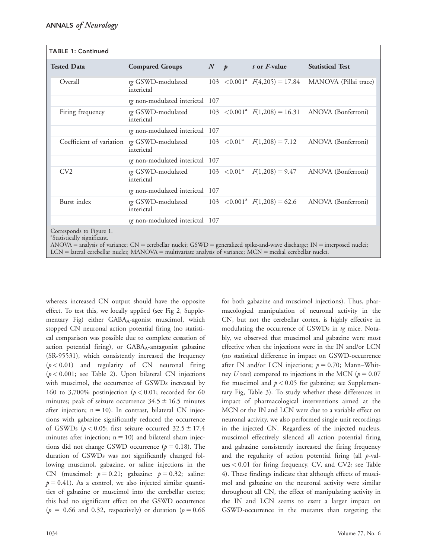| <b>TABLE 1: Continued</b> |  |  |  |
|---------------------------|--|--|--|
|---------------------------|--|--|--|

| <b>Tested Data</b>                                                                                                                                                                                | <b>Compared Groups</b>                                                                                         | $N$ $p$ |  | t or <i>F</i> -value | <b>Statistical Test</b>                                           |  |
|---------------------------------------------------------------------------------------------------------------------------------------------------------------------------------------------------|----------------------------------------------------------------------------------------------------------------|---------|--|----------------------|-------------------------------------------------------------------|--|
| Overall                                                                                                                                                                                           | tg GSWD-modulated<br>interictal                                                                                |         |  |                      | 103 < 0.001 <sup>a</sup> $F(4,205) = 17.84$ MANOVA (Pillai trace) |  |
|                                                                                                                                                                                                   | tg non-modulated interictal 107                                                                                |         |  |                      |                                                                   |  |
| Firing frequency                                                                                                                                                                                  | tg GSWD-modulated $103 < 0.001^a$ $F(1,208) = 16.31$ ANOVA (Bonferroni)<br>interictal                          |         |  |                      |                                                                   |  |
|                                                                                                                                                                                                   | tg non-modulated interictal 107                                                                                |         |  |                      |                                                                   |  |
|                                                                                                                                                                                                   | Coefficient of variation tg GSWD-modulated $103 \le 0.01^a$ $F(1,208) = 7.12$ ANOVA (Bonferroni)<br>interictal |         |  |                      |                                                                   |  |
|                                                                                                                                                                                                   | tg non-modulated interictal 107                                                                                |         |  |                      |                                                                   |  |
| CV <sub>2</sub>                                                                                                                                                                                   | <i>tg</i> GSWD-modulated $103 < 0.01^a$<br>interictal                                                          |         |  |                      | $F(1,208) = 9.47$ ANOVA (Bonferroni)                              |  |
|                                                                                                                                                                                                   | tg non-modulated interictal 107                                                                                |         |  |                      |                                                                   |  |
| Burst index                                                                                                                                                                                       | <i>tg</i> GSWD-modulated $103 < 0.001^a$ $F(1,208) = 62.6$<br>interictal                                       |         |  |                      | ANOVA (Bonferroni)                                                |  |
|                                                                                                                                                                                                   | tg non-modulated interictal 107                                                                                |         |  |                      |                                                                   |  |
| Corresponds to Figure 1.<br><sup>a</sup> Statistically significant.<br>ANOVA = analysis of variance; CN = cerebellar nuclei; GSWD = generalized spike-and-wave discharge; IN = interposed nuclei; |                                                                                                                |         |  |                      |                                                                   |  |

 $LCN =$  lateral cerebellar nuclei; MANOVA = multivariate analysis of variance; MCN = medial cerebellar nuclei.

whereas increased CN output should have the opposite effect. To test this, we locally applied (see Fig 2, Supplementary Fig) either  $GABA_A$ -agonist muscimol, which stopped CN neuronal action potential firing (no statistical comparison was possible due to complete cessation of action potential firing), or GABAA-antagonist gabazine (SR-95531), which consistently increased the frequency  $(p < 0.01)$  and regularity of CN neuronal firing  $(p < 0.001$ ; see Table 2). Upon bilateral CN injections with muscimol, the occurrence of GSWDs increased by 160 to 3,700% postinjection ( $p < 0.01$ ; recorded for 60 minutes; peak of seizure occurrence  $34.5 \pm 16.5$  minutes after injection;  $n = 10$ ). In contrast, bilateral CN injections with gabazine significantly reduced the occurrence of GSWDs ( $p < 0.05$ ; first seizure occurred 32.5  $\pm$  17.4 minutes after injection;  $n = 10$ ) and bilateral sham injections did not change GSWD occurrence ( $p = 0.18$ ). The duration of GSWDs was not significantly changed following muscimol, gabazine, or saline injections in the CN (muscimol:  $p = 0.21$ ; gabazine:  $p = 0.32$ ; saline:  $p = 0.41$ ). As a control, we also injected similar quantities of gabazine or muscimol into the cerebellar cortex; this had no significant effect on the GSWD occurrence ( $p = 0.66$  and 0.32, respectively) or duration ( $p = 0.66$ 

CN, but not the cerebellar cortex, is highly effective in modulating the occurrence of GSWDs in tg mice. Notably, we observed that muscimol and gabazine were most effective when the injections were in the IN and/or LCN (no statistical difference in impact on GSWD-occurrence after IN and/or LCN injections;  $p = 0.70$ ; Mann–Whitney U test) compared to injections in the MCN ( $p = 0.07$ for muscimol and  $p < 0.05$  for gabazine; see Supplementary Fig, Table 3). To study whether these differences in impact of pharmacological interventions aimed at the MCN or the IN and LCN were due to a variable effect on neuronal activity, we also performed single unit recordings in the injected CN. Regardless of the injected nucleus, muscimol effectively silenced all action potential firing and gabazine consistently increased the firing frequency and the regularity of action potential firing (all  $p$ -values < 0.01 for firing frequency, CV, and CV2; see Table 4). These findings indicate that although effects of muscimol and gabazine on the neuronal activity were similar throughout all CN, the effect of manipulating activity in the IN and LCN seems to exert a larger impact on GSWD-occurrence in the mutants than targeting the

for both gabazine and muscimol injections). Thus, pharmacological manipulation of neuronal activity in the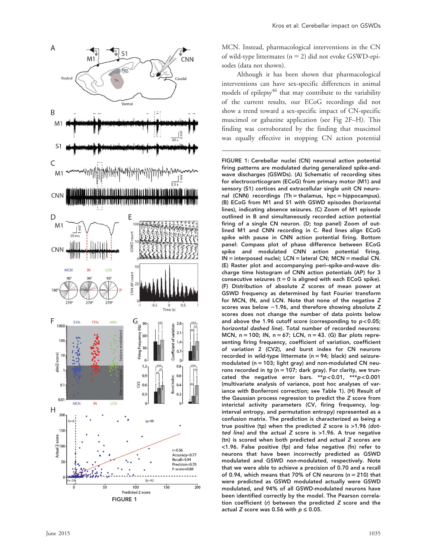

MCN. Instead, pharmacological interventions in the CN of wild-type littermates (n 5 2) did not evoke GSWD-episodes (data not shown).

Although it has been shown that pharmacological interventions can have sex-specific differences in animal models of epilepsy<sup>46</sup> that may contribute to the variability of the current results, our ECoG recordings did not show a trend toward a sex-specific impact of CN-specific muscimol or gabazine application (see Fig 2F–H). This finding was corroborated by the finding that muscimol was equally effective in stopping CN action potential

FIGURE 1: Cerebellar nuclei (CN) neuronal action potential firing patterns are modulated during generalized spike-andwave discharges (GSWDs). (A) Schematic of recording sites for electrocorticogram (ECoG) from primary motor (M1) and sensory (S1) cortices and extracellular single unit CN neuronal (CNN) recordings (Th = thalamus, hpc = hippocampus). (B) ECoG from M1 and S1 with GSWD episodes (horizontal lines), indicating absence seizures. (C) Zoom of M1 episode outlined in B and simultaneously recorded action potential firing of a single CN neuron. (D; top panel) Zoom of outlined M1 and CNN recording in C. Red lines align ECoG spike with pause in CNN action potential firing. Bottom panel: Compass plot of phase difference between ECoG spike and modulated CNN action potential firing. IN = interposed nuclei; LCN = lateral CN; MCN = medial CN. (E) Raster plot and accompanying peri–spike-and-wave discharge time histogram of CNN action potentials (AP) for 3 consecutive seizures  $(t = 0$  is aligned with each ECoG spike). (F) Distribution of absolute Z scores of mean power at GSWD frequency as determined by fast Fourier transform for MCN, IN, and LCN. Note that none of the negative Z scores was below -1.96, and therefore showing absolute Z scores does not change the number of data points below and above the 1.96 cutoff score (corresponding to p < 0.05; horizontal dashed line). Total number of recorded neurons: MCN, n = 100; IN, n = 67; LCN, n = 43. (G) Bar plots representing firing frequency, coefficient of variation, coefficient of variation 2 (CV2), and burst index for CN neurons recorded in wild-type littermate (n 5 94; black) and seizuremodulated ( $n = 103$ ; light gray) and non-modulated CN neurons recorded in tg ( $n = 107$ ; dark gray). For clarity, we truncated the negative error bars. \*\*p < 0.01, \*\*\*p < 0.001 (multivariate analysis of variance, post hoc analyses of variance with Bonferroni correction; see Table 1). (H) Result of the Gaussian process regression to predict the Z score from interictal activity parameters (CV, firing frequency, loginterval entropy, and permutation entropy) represented as a confusion matrix. The prediction is characterized as being a true positive (tp) when the predicted Z score is >1.96 (dotted line) and the actual Z score is >1.96. A true negative (tn) is scored when both predicted and actual Z scores are <1.96. False positive (fp) and false negative (fn) refer to neurons that have been incorrectly predicted as GSWD modulated and GSWD non-modulated, respectively. Note that we were able to achieve a precision of 0.70 and a recall of 0.94, which means that 70% of CN neurons (n 5 210) that were predicted as GSWD modulated actually were GSWD modulated, and 94% of all GSWD-modulated neurons have been identified correctly by the model. The Pearson correlation coefficient (r) between the predicted Z score and the actual Z score was 0.56 with  $p \leq 0.05$ .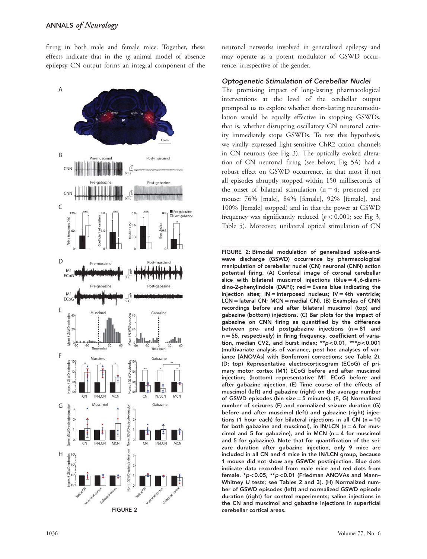firing in both male and female mice. Together, these effects indicate that in the tg animal model of absence epilepsy CN output forms an integral component of the



neuronal networks involved in generalized epilepsy and may operate as a potent modulator of GSWD occurrence, irrespective of the gender.

#### Optogenetic Stimulation of Cerebellar Nuclei

The promising impact of long-lasting pharmacological interventions at the level of the cerebellar output prompted us to explore whether short-lasting neuromodulation would be equally effective in stopping GSWDs, that is, whether disrupting oscillatory CN neuronal activity immediately stops GSWDs. To test this hypothesis, we virally expressed light-sensitive ChR2 cation channels in CN neurons (see Fig 3). The optically evoked alteration of CN neuronal firing (see below; Fig 5A) had a robust effect on GSWD occurrence, in that most if not all episodes abruptly stopped within 150 milliseconds of the onset of bilateral stimulation ( $n = 4$ ; presented per mouse: 76% [male], 84% [female], 92% [female], and 100% [female] stopped) and in that the power at GSWD frequency was significantly reduced ( $p < 0.001$ ; see Fig 3, Table 5). Moreover, unilateral optical stimulation of CN

FIGURE 2: Bimodal modulation of generalized spike-andwave discharge (GSWD) occurrence by pharmacological manipulation of cerebellar nuclei (CN) neuronal (CNN) action potential firing. (A) Confocal image of coronal cerebellar slice with bilateral muscimol injections (blue  $= 4^{\prime}$ , 6-diami $dino-2$ -phenylindole (DAPI); red = Evans blue indicating the injection sites;  $IN =$  interposed nucleus;  $IV = 4th$  ventricle;  $LCN =$  lateral CN; MCN = medial CN). (B) Examples of CNN recordings before and after bilateral muscimol (top) and gabazine (bottom) injections. (C) Bar plots for the impact of gabazine on CNN firing as quantified by the difference between pre- and postgabazine injections ( $n = 81$  and  $n = 55$ , respectively) in firing frequency, coefficient of variation, median CV2, and burst index; \*\*p < 0.01, \*\*\*p < 0.001 (multivariate analysis of variance, post hoc analyses of variance [ANOVAs] with Bonferroni corrections; see Table 2). (D; top) Representative electrocorticogram (ECoG) of primary motor cortex (M1) ECoG before and after muscimol injection; (bottom) representative M1 ECoG before and after gabazine injection. (E) Time course of the effects of muscimol (left) and gabazine (right) on the average number of GSWD episodes (bin size  $=$  5 minutes). (F, G) Normalized number of seizures (F) and normalized seizure duration (G) before and after muscimol (left) and gabazine (right) injections (1 hour each) for bilateral injections in all CN ( $n = 10$ for both gabazine and muscimol), in IN/LCN ( $n = 6$  for muscimol and 5 for gabazine), and in MCN ( $n = 4$  for muscimol and 5 for gabazine). Note that for quantification of the seizure duration after gabazine injection, only 9 mice are included in all CN and 4 mice in the IN/LCN group, because 1 mouse did not show any GSWDs postinjection. Blue dots indicate data recorded from male mice and red dots from female. \*p < 0.05, \*\*p < 0.01 (Friedman ANOVAs and Mann– Whitney U tests; see Tables 2 and 3). (H) Normalized number of GSWD episodes (left) and normalized GSWD episode duration (right) for control experiments; saline injections in the CN and muscimol and gabazine injections in superficial cerebellar cortical areas.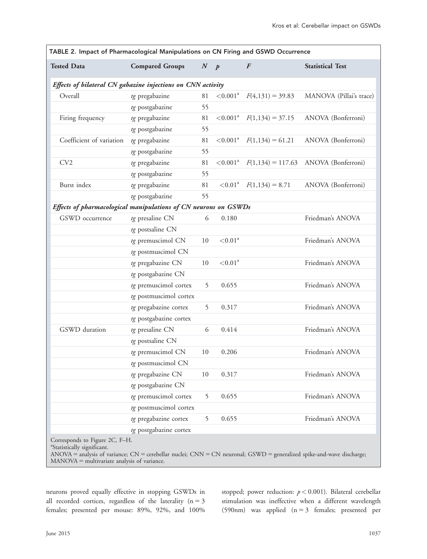| TABLE 2. Impact of Pharmacological Manipulations on CN Firing and GSWD Occurrence |                        |                  |                         |                     |                         |
|-----------------------------------------------------------------------------------|------------------------|------------------|-------------------------|---------------------|-------------------------|
| <b>Tested Data</b>                                                                | <b>Compared Groups</b> | $\boldsymbol{N}$ | $\overline{p}$          | $\boldsymbol{F}$    | <b>Statistical Test</b> |
| Effects of bilateral CN gabazine injections on CNN activity                       |                        |                  |                         |                     |                         |
| Overall                                                                           | tg pregabazine         | 81               | $< 0.001^{\text{a}}$    | $F(4,131) = 39.83$  | MANOVA (Pillai's trace) |
|                                                                                   | tg postgabazine        | 55               |                         |                     |                         |
| Firing frequency                                                                  | tg pregabazine         | 81               | ${<}0.001^a$            | $F(1,134) = 37.15$  | ANOVA (Bonferroni)      |
|                                                                                   | tg postgabazine        | 55               |                         |                     |                         |
| Coefficient of variation                                                          | tg pregabazine         | 81               | ${<}0.001$ <sup>a</sup> | $F(1,134) = 61.21$  | ANOVA (Bonferroni)      |
|                                                                                   | tg postgabazine        | 55               |                         |                     |                         |
| CV2                                                                               | tg pregabazine         | 81               | ${<}0.001$ <sup>a</sup> | $F(1,134) = 117.63$ | ANOVA (Bonferroni)      |
|                                                                                   | tg postgabazine        | 55               |                         |                     |                         |
| Burst index                                                                       | tg pregabazine         | 81               | < 0.01 <sup>a</sup>     | $F(1,134) = 8.71$   | ANOVA (Bonferroni)      |
|                                                                                   | tg postgabazine        | 55               |                         |                     |                         |
| Effects of pharmacological manipulations of CN neurons on GSWDs                   |                        |                  |                         |                     |                         |
| GSWD occurrence                                                                   | tg presaline CN        | 6                | 0.180                   |                     | Friedman's ANOVA        |
|                                                                                   | tg postsaline CN       |                  |                         |                     |                         |
|                                                                                   | tg premuscimol CN      | 10               | < 0.01 <sup>a</sup>     |                     | Friedman's ANOVA        |
|                                                                                   | tg postmuscimol CN     |                  |                         |                     |                         |
|                                                                                   | tg pregabazine CN      | 10               | ${<}0.01$ <sup>a</sup>  |                     | Friedman's ANOVA        |
|                                                                                   | tg postgabazine CN     |                  |                         |                     |                         |
|                                                                                   | tg premuscimol cortex  | 5                | 0.655                   |                     | Friedman's ANOVA        |
|                                                                                   | tg postmuscimol cortex |                  |                         |                     |                         |
|                                                                                   | tg pregabazine cortex  | 5                | 0.317                   |                     | Friedman's ANOVA        |
|                                                                                   | tg postgabazine cortex |                  |                         |                     |                         |
| GSWD duration                                                                     | tg presaline CN        | 6                | 0.414                   |                     | Friedman's ANOVA        |
|                                                                                   | tg postsaline CN       |                  |                         |                     |                         |
|                                                                                   | tg premuscimol CN      | 10               | 0.206                   |                     | Friedman's ANOVA        |
|                                                                                   | tg postmuscimol CN     |                  |                         |                     |                         |
|                                                                                   | tg pregabazine CN      | $10\,$           | 0.317                   |                     | Friedman's ANOVA        |
|                                                                                   | tg postgabazine CN     |                  |                         |                     |                         |
|                                                                                   | tg premuscimol cortex  | 5                | 0.655                   |                     | Friedman's ANOVA        |
|                                                                                   | tg postmuscimol cortex |                  |                         |                     |                         |
|                                                                                   | tg pregabazine cortex  | 5                | 0.655                   |                     | Friedman's ANOVA        |
|                                                                                   | tg postgabazine cortex |                  |                         |                     |                         |
| Corresponds to Figure 2C, F-H.                                                    |                        |                  |                         |                     |                         |

a Statistically significant.

 $ANOVA =$  analysis of variance;  $CN =$  cerebellar nuclei;  $CNN = CN$  neuronal;  $GSWD =$  generalized spike-and-wave discharge;  $MANOVA = multivariate$  analysis of variance.

neurons proved equally effective in stopping GSWDs in all recorded cortices, regardless of the laterality ( $n = 3$ females; presented per mouse: 89%, 92%, and 100%

stopped; power reduction:  $p < 0.001$ ). Bilateral cerebellar stimulation was ineffective when a different wavelength (590nm) was applied  $(n = 3$  females; presented per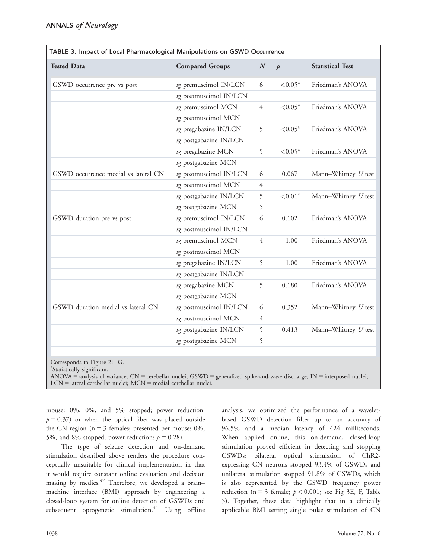|                                      | TABLE 3. Impact of Local Pharmacological Manipulations on GSWD Occurrence |                  |                        |                         |  |  |  |
|--------------------------------------|---------------------------------------------------------------------------|------------------|------------------------|-------------------------|--|--|--|
| <b>Tested Data</b>                   | <b>Compared Groups</b>                                                    | $\boldsymbol{N}$ | $\boldsymbol{p}$       | <b>Statistical Test</b> |  |  |  |
| GSWD occurrence pre vs post          | tg premuscimol IN/LCN                                                     | 6                | $< 0.05^{\rm a}$       | Friedman's ANOVA        |  |  |  |
|                                      | tg postmuscimol IN/LCN                                                    |                  |                        |                         |  |  |  |
|                                      | tg premuscimol MCN                                                        | $\overline{4}$   | $< 0.05^{\text{a}}$    | Friedman's ANOVA        |  |  |  |
|                                      | tg postmuscimol MCN                                                       |                  |                        |                         |  |  |  |
|                                      | tg pregabazine IN/LCN                                                     | 5                | $< 0.05^{\text{a}}$    | Friedman's ANOVA        |  |  |  |
|                                      | tg postgabazine IN/LCN                                                    |                  |                        |                         |  |  |  |
|                                      | tg pregabazine MCN                                                        | 5                | $< 0.05^{\text{a}}$    | Friedman's ANOVA        |  |  |  |
|                                      | tg postgabazine MCN                                                       |                  |                        |                         |  |  |  |
| GSWD occurrence medial vs lateral CN | tg postmuscimol IN/LCN                                                    | 6                | 0.067                  | Mann-Whitney U test     |  |  |  |
|                                      | tg postmuscimol MCN                                                       | $\overline{4}$   |                        |                         |  |  |  |
|                                      | tg postgabazine IN/LCN                                                    | 5                | ${<}0.01$ <sup>a</sup> | Mann-Whitney $U$ test   |  |  |  |
|                                      | tg postgabazine MCN                                                       | 5                |                        |                         |  |  |  |
| GSWD duration pre vs post            | tg premuscimol IN/LCN                                                     | 6                | 0.102                  | Friedman's ANOVA        |  |  |  |
|                                      | tg postmuscimol IN/LCN                                                    |                  |                        |                         |  |  |  |
|                                      | tg premuscimol MCN                                                        | 4                | 1.00                   | Friedman's ANOVA        |  |  |  |
|                                      | tg postmuscimol MCN                                                       |                  |                        |                         |  |  |  |
|                                      | tg pregabazine IN/LCN                                                     | 5                | 1.00                   | Friedman's ANOVA        |  |  |  |
|                                      | tg postgabazine IN/LCN                                                    |                  |                        |                         |  |  |  |
|                                      | tg pregabazine MCN                                                        | 5                | 0.180                  | Friedman's ANOVA        |  |  |  |
|                                      | tg postgabazine MCN                                                       |                  |                        |                         |  |  |  |
| GSWD duration medial vs lateral CN   | tg postmuscimol IN/LCN                                                    | 6                | 0.352                  | Mann-Whitney U test     |  |  |  |
|                                      | tg postmuscimol MCN                                                       | 4                |                        |                         |  |  |  |
|                                      | tg postgabazine IN/LCN                                                    | 5                | 0.413                  | Mann-Whitney U test     |  |  |  |
|                                      | tg postgabazine MCN                                                       | 5                |                        |                         |  |  |  |
|                                      |                                                                           |                  |                        |                         |  |  |  |

Corresponds to Figure 2F–G.

<sup>a</sup>Statistically significant.

 $ANOVA =$  analysis of variance;  $CN =$  cerebellar nuclei;  $GSWD =$  generalized spike-and-wave discharge;  $IN =$  interposed nuclei;  $LCN =$  lateral cerebellar nuclei;  $MCN =$  medial cerebellar nuclei.

mouse: 0%, 0%, and 5% stopped; power reduction:  $p = 0.37$ ) or when the optical fiber was placed outside the CN region ( $n = 3$  females; presented per mouse: 0%, 5%, and 8% stopped; power reduction:  $p = 0.28$ ).

The type of seizure detection and on-demand stimulation described above renders the procedure conceptually unsuitable for clinical implementation in that it would require constant online evaluation and decision making by medics.<sup>47</sup> Therefore, we developed a brainmachine interface (BMI) approach by engineering a closed-loop system for online detection of GSWDs and subsequent optogenetic stimulation. $41$  Using offline

analysis, we optimized the performance of a waveletbased GSWD detection filter up to an accuracy of 96.5% and a median latency of 424 milliseconds. When applied online, this on-demand, closed-loop stimulation proved efficient in detecting and stopping GSWDs; bilateral optical stimulation of ChR2 expressing CN neurons stopped 93.4% of GSWDs and unilateral stimulation stopped 91.8% of GSWDs, which is also represented by the GSWD frequency power reduction (n = 3 female;  $p < 0.001$ ; see Fig 3E, F, Table 5). Together, these data highlight that in a clinically applicable BMI setting single pulse stimulation of CN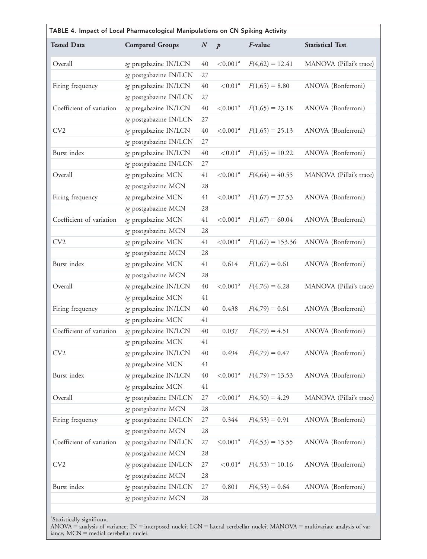|                          | TABLE 4. Impact of Local Pharmacological Manipulations on CN Spiking Activity |                  |                         |                    |                         |  |  |
|--------------------------|-------------------------------------------------------------------------------|------------------|-------------------------|--------------------|-------------------------|--|--|
| <b>Tested Data</b>       | <b>Compared Groups</b>                                                        | $\boldsymbol{N}$ | $\boldsymbol{p}$        | F-value            | <b>Statistical Test</b> |  |  |
| Overall                  | tg pregabazine IN/LCN                                                         | 40               | < 0.001 <sup>a</sup>    | $F(4,62) = 12.41$  | MANOVA (Pillai's trace) |  |  |
|                          | tg postgabazine IN/LCN                                                        | 27               |                         |                    |                         |  |  |
| Firing frequency         | tg pregabazine IN/LCN                                                         | 40               | ${<}0.01$ <sup>a</sup>  | $F(1,65) = 8.80$   | ANOVA (Bonferroni)      |  |  |
|                          | tg postgabazine IN/LCN                                                        | $27\,$           |                         |                    |                         |  |  |
| Coefficient of variation | tg pregabazine IN/LCN                                                         | 40               | $< \! 0.001^{\rm a}$    | $F(1,65) = 23.18$  | ANOVA (Bonferroni)      |  |  |
|                          | tg postgabazine IN/LCN                                                        | 27               |                         |                    |                         |  |  |
| CV <sub>2</sub>          | tg pregabazine IN/LCN                                                         | 40               | ${<}0.001$ <sup>a</sup> | $F(1,65) = 25.13$  | ANOVA (Bonferroni)      |  |  |
|                          | tg postgabazine IN/LCN                                                        | 27               |                         |                    |                         |  |  |
| Burst index              | tg pregabazine IN/LCN                                                         | 40               | < 0.01 <sup>a</sup>     | $F(1,65) = 10.22$  | ANOVA (Bonferroni)      |  |  |
|                          | tg postgabazine IN/LCN                                                        | $27\,$           |                         |                    |                         |  |  |
| Overall                  | tg pregabazine MCN                                                            | 41               | < 0.001 <sup>a</sup>    | $F(4,64) = 40.55$  | MANOVA (Pillai's trace) |  |  |
|                          | tg postgabazine MCN                                                           | 28               |                         |                    |                         |  |  |
| Firing frequency         | tg pregabazine MCN                                                            | 41               | < 0.001 <sup>a</sup>    | $F(1,67) = 37.53$  | ANOVA (Bonferroni)      |  |  |
|                          | tg postgabazine MCN                                                           | 28               |                         |                    |                         |  |  |
| Coefficient of variation | tg pregabazine MCN                                                            | 41               | < 0.001 <sup>a</sup>    | $F(1,67) = 60.04$  | ANOVA (Bonferroni)      |  |  |
|                          | tg postgabazine MCN                                                           | 28               |                         |                    |                         |  |  |
| CV2                      | tg pregabazine MCN                                                            | 41               | < 0.001 <sup>a</sup>    | $F(1,67) = 153.36$ | ANOVA (Bonferroni)      |  |  |
|                          | tg postgabazine MCN                                                           | 28               |                         |                    |                         |  |  |
| Burst index              | tg pregabazine MCN                                                            | 41               | 0.614                   | $F(1,67) = 0.61$   | ANOVA (Bonferroni)      |  |  |
|                          | tg postgabazine MCN                                                           | 28               |                         |                    |                         |  |  |
| Overall                  | tg pregabazine IN/LCN                                                         | 40               | < 0.001 <sup>a</sup>    | $F(4,76) = 6.28$   | MANOVA (Pillai's trace) |  |  |
|                          | tg pregabazine MCN                                                            | 41               |                         |                    |                         |  |  |
| Firing frequency         | tg pregabazine IN/LCN                                                         | 40               | 0.438                   | $F(4,79) = 0.61$   | ANOVA (Bonferroni)      |  |  |
|                          | tg pregabazine MCN                                                            | 41               |                         |                    |                         |  |  |
| Coefficient of variation | tg pregabazine IN/LCN                                                         | 40               | 0.037                   | $F(4,79) = 4.51$   | ANOVA (Bonferroni)      |  |  |
|                          | tg pregabazine MCN                                                            | 41               |                         |                    |                         |  |  |
| CV2                      | tg pregabazine IN/LCN                                                         | 40               | 0.494                   | $F(4,79) = 0.47$   | ANOVA (Bonferroni)      |  |  |
|                          | tg pregabazine MCN                                                            | 41               |                         |                    |                         |  |  |
| Burst index              | tg pregabazine IN/LCN                                                         | 40               | $< \! 0.001^{\rm a}$    | $F(4,79) = 13.53$  | ANOVA (Bonferroni)      |  |  |
|                          | tg pregabazine MCN                                                            | 41               |                         |                    |                         |  |  |
| Overall                  | tg postgabazine IN/LCN                                                        | 27               | < 0.001 <sup>a</sup>    | $F(4,50) = 4.29$   | MANOVA (Pillai's trace) |  |  |
|                          | tg postgabazine MCN                                                           | 28               |                         |                    |                         |  |  |
| Firing frequency         | tg postgabazine IN/LCN                                                        | $27\,$           | 0.344                   | $F(4,53) = 0.91$   | ANOVA (Bonferroni)      |  |  |
|                          | tg postgabazine MCN                                                           | 28               |                         |                    |                         |  |  |
| Coefficient of variation | tg postgabazine IN/LCN                                                        | 27               | $\leq 0.001^a$          | $F(4,53) = 13.55$  | ANOVA (Bonferroni)      |  |  |
|                          | tg postgabazine MCN                                                           | 28               |                         |                    |                         |  |  |
| CV <sub>2</sub>          | tg postgabazine IN/LCN                                                        | $27\,$           | < 0.01 <sup>a</sup>     | $F(4,53) = 10.16$  | ANOVA (Bonferroni)      |  |  |
|                          | tg postgabazine MCN                                                           | 28               |                         |                    |                         |  |  |
| Burst index              | tg postgabazine IN/LCN                                                        | 27               | 0.801                   | $F(4,53) = 0.64$   | ANOVA (Bonferroni)      |  |  |
|                          | tg postgabazine MCN                                                           | 28               |                         |                    |                         |  |  |
|                          |                                                                               |                  |                         |                    |                         |  |  |

<sup>a</sup>Statistically significant.

ANOVA = analysis of variance; IN = interposed nuclei; LCN = lateral cerebellar nuclei; MANOVA = multivariate analysis of variance; MCN = medial cerebellar nuclei.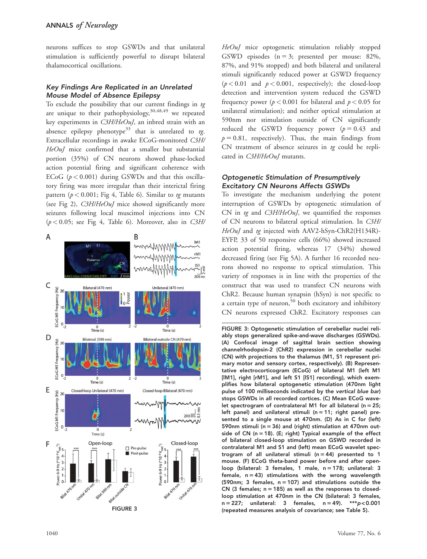neurons suffices to stop GSWDs and that unilateral stimulation is sufficiently powerful to disrupt bilateral thalamocortical oscillations.

## Key Findings Are Replicated in an Unrelated Mouse Model of Absence Epilepsy

To exclude the possibility that our current findings in tg are unique to their pathophysiology,  $30,48,49$  we repeated key experiments in C3H/HeOuJ, an inbred strain with an absence epilepsy phenotype<sup>33</sup> that is unrelated to tg. Extracellular recordings in awake ECoG-monitored C3H/ HeOuJ mice confirmed that a smaller but substantial portion (35%) of CN neurons showed phase-locked action potential firing and significant coherence with ECoG  $(p < 0.001)$  during GSWDs and that this oscillatory firing was more irregular than their interictal firing pattern ( $p < 0.001$ ; Fig 4, Table 6). Similar to tg mutants (see Fig 2), C3H/HeOuJ mice showed significantly more seizures following local muscimol injections into CN  $(p < 0.05$ ; see Fig 4, Table 6). Moreover, also in C3H/



HeOuJ mice optogenetic stimulation reliably stopped GSWD episodes  $(n = 3;$  presented per mouse: 82%, 87%, and 91% stopped) and both bilateral and unilateral stimuli significantly reduced power at GSWD frequency  $(p < 0.01$  and  $p < 0.001$ , respectively); the closed-loop detection and intervention system reduced the GSWD frequency power ( $p < 0.001$  for bilateral and  $p < 0.05$  for unilateral stimulation); and neither optical stimulation at 590nm nor stimulation outside of CN significantly reduced the GSWD frequency power  $(p = 0.43$  and  $p = 0.81$ , respectively). Thus, the main findings from CN treatment of absence seizures in tg could be replicated in C3H/HeOuJ mutants.

## Optogenetic Stimulation of Presumptively Excitatory CN Neurons Affects GSWDs

To investigate the mechanism underlying the potent interruption of GSWDs by optogenetic stimulation of CN in  $tq$  and  $C3H/HeOuI$ , we quantified the responses of CN neurons to bilateral optical stimulation. In C3H/ HeOuJ and tg injected with AAV2-hSyn-ChR2(H134R)-EYFP, 33 of 50 responsive cells (66%) showed increased action potential firing, whereas 17 (34%) showed decreased firing (see Fig 5A). A further 16 recorded neurons showed no response to optical stimulation. This variety of responses is in line with the properties of the construct that was used to transfect CN neurons with ChR2. Because human synapsin (hSyn) is not specific to a certain type of neuron,<sup>50</sup> both excitatory and inhibitory CN neurons expressed ChR2. Excitatory responses can

```
FIGURE 3: Optogenetic stimulation of cerebellar nuclei reli-
ably stops generalized spike-and-wave discharges (GSWDs).
(A) Confocal image of sagittal brain section showing
channelrhodopsin-2 (ChR2) expression in cerebellar nuclei
(CN) with projections to the thalamus (M1, S1 represent pri-
mary motor and sensory cortex, respectively). (B) Represen-
tative electrocorticogram (ECoG) of bilateral M1 (left M1
[lM1], right [rM1], and left S1 [lS1] recording), which exem-
plifies how bilateral optogenetic stimulation (470nm light
pulse of 100 milliseconds indicated by the vertical blue bar)
stops GSWDs in all recorded cortices. (C) Mean ECoG wave-
let spectrogram of contralateral M1 for all bilateral (n = 25;
left panel) and unilateral stimuli (n = 11; right panel) pre-
sented to a single mouse at 470nm. (D) As in C for (left)
590nm stimuli (n = 36) and (right) stimulation at 470nm out-
side of CN (n = 18). (E; right) Typical example of the effect
of bilateral closed-loop stimulation on GSWD recorded in
contralateral M1 and S1 and (left) mean ECoG wavelet spec-
trogram of all unilateral stimuli (n = 44) presented to 1
mouse. (F) ECoG theta-band power before and after open-
loop (bilateral: 3 females, 1 male, n = 178; unilateral: 3
female, n = 43) stimulations with the wrong wavelength
(590nm; 3 females, n = 107) and stimulations outside the
CN (3 females; n = 185) as well as the responses to closed-
loop stimulation at 470nm in the CN (bilateral: 3 females,
n = 227; unilateral: 3 females, n = 49). ***p < 0.001
(repeated measures analysis of covariance; see Table 5).
```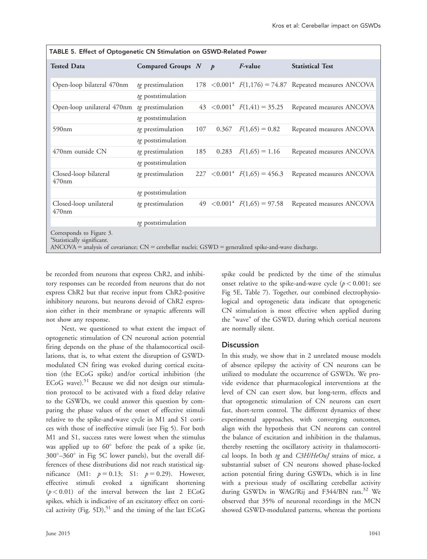| TABLE 5. Effect of Optogenetic CN Stimulation on GSWD-Related Power                                                                                                                |                         |     |       |                                     |                                                             |  |
|------------------------------------------------------------------------------------------------------------------------------------------------------------------------------------|-------------------------|-----|-------|-------------------------------------|-------------------------------------------------------------|--|
| <b>Tested Data</b>                                                                                                                                                                 | Compared Groups $N$ $p$ |     |       | <i>F</i> -value                     | <b>Statistical Test</b>                                     |  |
| Open-loop bilateral 470nm                                                                                                                                                          | tg prestimulation       |     |       |                                     | 178 < $0.001^a$ $F(1,176) = 74.87$ Repeated measures ANCOVA |  |
|                                                                                                                                                                                    | tg poststimulation      |     |       |                                     |                                                             |  |
| Open-loop unilateral 470nm                                                                                                                                                         | tg prestimulation       |     |       | 43 $\lt 0.001^a$ $F(1,41) = 35.25$  | Repeated measures ANCOVA                                    |  |
|                                                                                                                                                                                    | tg poststimulation      |     |       |                                     |                                                             |  |
| 590nm                                                                                                                                                                              | tg prestimulation       | 107 | 0.367 | $F(1,65) = 0.82$                    | Repeated measures ANCOVA                                    |  |
|                                                                                                                                                                                    | tg poststimulation      |     |       |                                     |                                                             |  |
| 470nm outside CN                                                                                                                                                                   | tg prestimulation       | 185 | 0.283 | $F(1,65) = 1.16$                    | Repeated measures ANCOVA                                    |  |
|                                                                                                                                                                                    | tg poststimulation      |     |       |                                     |                                                             |  |
| Closed-loop bilateral<br>$470$ nm                                                                                                                                                  | tg prestimulation       |     |       | 227 $\lt 0.001^a$ $F(1,65) = 456.3$ | Repeated measures ANCOVA                                    |  |
|                                                                                                                                                                                    | tg poststimulation      |     |       |                                     |                                                             |  |
| Closed-loop unilateral<br>$470$ nm                                                                                                                                                 | tg prestimulation       |     |       | 49 $\lt 0.001^a$ $F(1,65) = 97.58$  | Repeated measures ANCOVA                                    |  |
|                                                                                                                                                                                    | tg poststimulation      |     |       |                                     |                                                             |  |
| Corresponds to Figure 3.<br><sup>a</sup> Statistically significant.<br>$ANCOVA =$ analysis of covariance; $CN =$ cerebellar nuclei; $GSWD =$ generalized spike-and-wave discharge. |                         |     |       |                                     |                                                             |  |

be recorded from neurons that express ChR2, and inhibitory responses can be recorded from neurons that do not express ChR2 but that receive input from ChR2-positive inhibitory neurons, but neurons devoid of ChR2 expression either in their membrane or synaptic afferents will not show any response.

Next, we questioned to what extent the impact of optogenetic stimulation of CN neuronal action potential firing depends on the phase of the thalamocortical oscillations, that is, to what extent the disruption of GSWDmodulated CN firing was evoked during cortical excitation (the ECoG spike) and/or cortical inhibition (the ECoG wave).<sup>51</sup> Because we did not design our stimulation protocol to be activated with a fixed delay relative to the GSWDs, we could answer this question by comparing the phase values of the onset of effective stimuli relative to the spike-and-wave cycle in M1 and S1 cortices with those of ineffective stimuli (see Fig 5). For both M1 and S1, success rates were lowest when the stimulus was applied up to  $60^\circ$  before the peak of a spike (ie,  $300^{\circ}$ -360 $^{\circ}$  in Fig 5C lower panels), but the overall differences of these distributions did not reach statistical significance (M1:  $p = 0.13$ ; S1:  $p = 0.29$ ). However, effective stimuli evoked a significant shortening  $(p < 0.01)$  of the interval between the last 2 ECoG spikes, which is indicative of an excitatory effect on cortical activity (Fig. 5D), $51$  and the timing of the last ECoG

spike could be predicted by the time of the stimulus onset relative to the spike-and-wave cycle ( $p < 0.001$ ; see Fig 5E, Table 7). Together, our combined electrophysiological and optogenetic data indicate that optogenetic CN stimulation is most effective when applied during the "wave" of the GSWD, during which cortical neurons are normally silent.

# **Discussion**

In this study, we show that in 2 unrelated mouse models of absence epilepsy the activity of CN neurons can be utilized to modulate the occurrence of GSWDs. We provide evidence that pharmacological interventions at the level of CN can exert slow, but long-term, effects and that optogenetic stimulation of CN neurons can exert fast, short-term control. The different dynamics of these experimental approaches, with converging outcomes, align with the hypothesis that CN neurons can control the balance of excitation and inhibition in the thalamus, thereby resetting the oscillatory activity in thalamocortical loops. In both tg and C3H/HeOuJ strains of mice, a substantial subset of CN neurons showed phase-locked action potential firing during GSWDs, which is in line with a previous study of oscillating cerebellar activity during GSWDs in WAG/Rij and F344/BN rats.<sup>32</sup> We observed that 35% of neuronal recordings in the MCN showed GSWD-modulated patterns, whereas the portions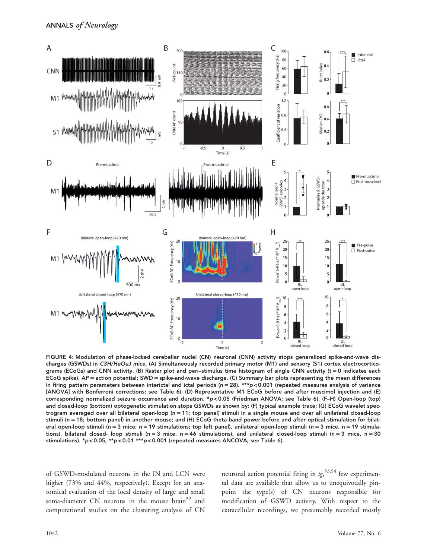

FIGURE 4: Modulation of phase-locked cerebellar nuclei (CN) neuronal (CNN) activity stops generalized spike-and-wave discharges (GSWDs) in C3H/HeOuJ mice. (A) Simultaneously recorded primary motor (M1) and sensory (S1) cortex electrocorticograms (ECoGs) and CNN activity. (B) Raster plot and peri–stimulus time histogram of single CNN activity ( $t = 0$  indicates each ECoG spike). AP = action potential; SWD = spike-and-wave discharge. (C) Summary bar plots representing the mean differences in firing pattern parameters between interictal and ictal periods ( $n = 28$ ). \*\*\*p < 0.001 (repeated measures analysis of variance [ANOVA] with Bonferroni corrections; see Table 6). (D) Representative M1 ECoG before and after muscimol injection and (E) corresponding normalized seizure occurrence and duration. \*p < 0.05 (Friedman ANOVA; see Table 6). (F–H) Open-loop (top) and closed-loop (bottom) optogenetic stimulation stops GSWDs as shown by: (F) typical example trace; (G) ECoG wavelet spectrogram averaged over all bilateral open-loop (n 5 11; top panel) stimuli in a single mouse and over all unilateral closed-loop stimuli (n = 18; bottom panel) in another mouse; and (H) ECoG theta-band power before and after optical stimulation for bilateral open-loop stimuli (n = 3 mice, n = 19 stimulations; top left panel), unilateral open-loop stimuli (n = 3 mice, n = 19 stimulations), bilateral closed- loop stimuli (n = 3 mice, n = 46 stimulations), and unilateral closed-loop stimuli (n = 3 mice, n = 30 stimulations). \*p < 0.05, \*\*p < 0.01 \*\*\*p < 0.001 (repeated measures ANCOVA; see Table 6).

of GSWD-modulated neurons in the IN and LCN were higher (73% and 44%, respectively). Except for an anatomical evaluation of the local density of large and small soma-diameter CN neurons in the mouse brain<sup>52</sup> and computational studies on the clustering analysis of CN

neuronal action potential firing in  $tg$ ,  $53,54$  few experimental data are available that allow us to unequivocally pinpoint the type(s) of CN neurons responsible for modification of GSWD activity. With respect to the extracellular recordings, we presumably recorded mostly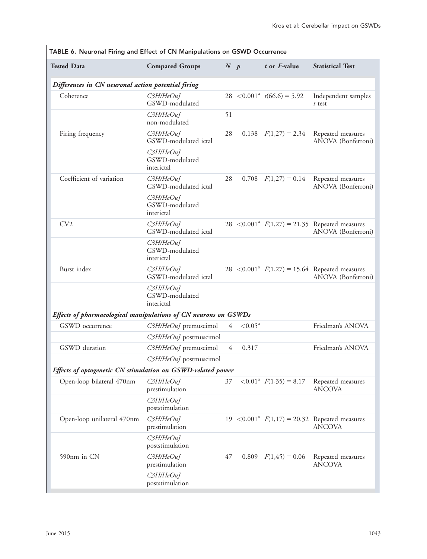| TABLE 6. Neuronal Firing and Effect of CN Manipulations on GSWD Occurrence |                                             |                |                     |                                           |                                                                                   |  |  |
|----------------------------------------------------------------------------|---------------------------------------------|----------------|---------------------|-------------------------------------------|-----------------------------------------------------------------------------------|--|--|
| <b>Tested Data</b>                                                         | <b>Compared Groups</b>                      | N p            |                     | $t$ or $F$ -value                         | <b>Statistical Test</b>                                                           |  |  |
| Differences in CN neuronal action potential firing                         |                                             |                |                     |                                           |                                                                                   |  |  |
| Coherence                                                                  | $C3H$ HeOuJ<br>GSWD-modulated               |                |                     | 28 $\lt 0.001^a$ $t(66.6) = 5.92$         | Independent samples<br>$t$ test                                                   |  |  |
|                                                                            | C3H/HeOuJ<br>non-modulated                  | 51             |                     |                                           |                                                                                   |  |  |
| Firing frequency                                                           | $C3H$ HeOuI<br>GSWD-modulated ictal         | 28             |                     | 0.138 $F(1,27) = 2.34$                    | Repeated measures<br>ANOVA (Bonferroni)                                           |  |  |
|                                                                            | $C3H$ HeOuJ<br>GSWD-modulated<br>interictal |                |                     |                                           |                                                                                   |  |  |
| Coefficient of variation                                                   | C3H/HeOuJ<br>GSWD-modulated ictal           | 28             |                     | $0.708$ $F(1,27) = 0.14$                  | Repeated measures<br>ANOVA (Bonferroni)                                           |  |  |
|                                                                            | C3H/HeOuJ<br>GSWD-modulated<br>interictal   |                |                     |                                           |                                                                                   |  |  |
| CV2                                                                        | $C3H$ HeOuJ<br>GSWD-modulated ictal         |                |                     |                                           | 28 < 0.001 <sup>a</sup> $F(1,27) = 21.35$ Repeated measures<br>ANOVA (Bonferroni) |  |  |
|                                                                            | C3H/HeOuJ<br>GSWD-modulated<br>interictal   |                |                     |                                           |                                                                                   |  |  |
| Burst index                                                                | $C3H$ HeOuJ<br>GSWD-modulated ictal         |                |                     |                                           | 28 < 0.001 <sup>a</sup> $F(1,27) = 15.64$ Repeated measures<br>ANOVA (Bonferroni) |  |  |
|                                                                            | $C3H$ HeOuJ<br>GSWD-modulated<br>interictal |                |                     |                                           |                                                                                   |  |  |
| Effects of pharmacological manipulations of CN neurons on GSWDs            |                                             |                |                     |                                           |                                                                                   |  |  |
| GSWD occurrence                                                            | C3H/HeOuJ premuscimol                       | $\overline{4}$ | $< 0.05^{\text{a}}$ |                                           | Friedman's ANOVA                                                                  |  |  |
|                                                                            | C3H/HeOuJ postmuscimol                      |                |                     |                                           |                                                                                   |  |  |
| GSWD duration                                                              | C3H/HeOuJ premuscimol                       | 4              | 0.317               |                                           | Friedman's ANOVA                                                                  |  |  |
|                                                                            | C3H/HeOuJ postmuscimol                      |                |                     |                                           |                                                                                   |  |  |
| Effects of optogenetic CN stimulation on GSWD-related power                |                                             |                |                     |                                           |                                                                                   |  |  |
| Open-loop bilateral 470nm                                                  | C3H/HeOuJ<br>prestimulation                 | 37             |                     | $\langle 0.01^a \tF(1,35) = 8.17 \rangle$ | Repeated measures<br><b>ANCOVA</b>                                                |  |  |
|                                                                            | C3H/HeOuJ<br>poststimulation                |                |                     |                                           |                                                                                   |  |  |
| Open-loop unilateral 470nm                                                 | C3H/HeOuJ<br>prestimulation                 |                |                     |                                           | 19 < 0.001 <sup>a</sup> $F(1,17) = 20.32$ Repeated measures<br><b>ANCOVA</b>      |  |  |
|                                                                            | C3H/HeOuJ<br>poststimulation                |                |                     |                                           |                                                                                   |  |  |
| 590nm in CN                                                                | C3H/HeOuJ<br>prestimulation                 | 47             | 0.809               | $F(1, 45) = 0.06$                         | Repeated measures<br><b>ANCOVA</b>                                                |  |  |
|                                                                            | C3H/HeOuJ<br>poststimulation                |                |                     |                                           |                                                                                   |  |  |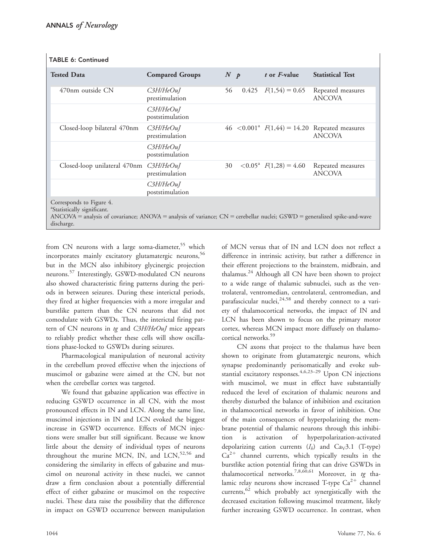| <b>Tested Data</b>                                     | <b>Compared Groups</b>             | N p |       | $t$ or $F$ -value                    | <b>Statistical Test</b>                                                      |
|--------------------------------------------------------|------------------------------------|-----|-------|--------------------------------------|------------------------------------------------------------------------------|
| 470nm outside CN                                       | $C3H$ HeOuJ<br>prestimulation      | 56  | 0.425 | $F(1,54) = 0.65$                     | Repeated measures<br><b>ANCOVA</b>                                           |
|                                                        | $C3H$ HeOuJ<br>poststimulation     |     |       |                                      |                                                                              |
| Closed-loop bilateral 470nm                            | $C3H$ / $He$ OuJ<br>prestimulation |     |       |                                      | 46 < 0.001 <sup>a</sup> $F(1,44) = 14.20$ Repeated measures<br><b>ANCOVA</b> |
|                                                        | $C3H$ HeOuJ<br>poststimulation     |     |       |                                      |                                                                              |
| Closed-loop unilateral 470nm                           | C3H/HeOuJ<br>prestimulation        | 30  |       | $\leq 0.05^{\rm a}$ $F(1,28) = 4.60$ | Repeated measures<br><b>ANCOVA</b>                                           |
|                                                        | C3H/HeOuJ<br>poststimulation       |     |       |                                      |                                                                              |
| Corresponds to Figure 4.<br>${}^{a}C_{\text{trivial}}$ |                                    |     |       |                                      |                                                                              |

#### TABLE 6: Continued

a Statistically significant.

 $ANCOVA =$  analysis of covariance;  $ANOVA =$  analysis of variance;  $CN =$  cerebellar nuclei;  $GSWD =$  generalized spike-and-wave discharge.

from CN neurons with a large soma-diameter,<sup>55</sup> which incorporates mainly excitatory glutamatergic neurons,<sup>56</sup> but in the MCN also inhibitory glycinergic projection neurons.<sup>57</sup> Interestingly, GSWD-modulated CN neurons also showed characteristic firing patterns during the periods in between seizures. During these interictal periods, they fired at higher frequencies with a more irregular and burstlike pattern than the CN neurons that did not comodulate with GSWDs. Thus, the interictal firing pattern of CN neurons in tg and C3H/HeOuJ mice appears to reliably predict whether these cells will show oscillations phase-locked to GSWDs during seizures.

Pharmacological manipulation of neuronal activity in the cerebellum proved effective when the injections of muscimol or gabazine were aimed at the CN, but not when the cerebellar cortex was targeted.

We found that gabazine application was effective in reducing GSWD occurrence in all CN, with the most pronounced effects in IN and LCN. Along the same line, muscimol injections in IN and LCN evoked the biggest increase in GSWD occurrence. Effects of MCN injections were smaller but still significant. Because we know little about the density of individual types of neurons throughout the murine MCN, IN, and  $LCN$ ,<sup>52,56</sup> and considering the similarity in effects of gabazine and muscimol on neuronal activity in these nuclei, we cannot draw a firm conclusion about a potentially differential effect of either gabazine or muscimol on the respective nuclei. These data raise the possibility that the difference in impact on GSWD occurrence between manipulation

of MCN versus that of IN and LCN does not reflect a difference in intrinsic activity, but rather a difference in their efferent projections to the brainstem, midbrain, and thalamus. $^{24}$  Although all CN have been shown to project to a wide range of thalamic subnuclei, such as the ventrolateral, ventromedian, centrolateral, centromedian, and parafascicular nuclei, $24,58$  and thereby connect to a variety of thalamocortical networks, the impact of IN and LCN has been shown to focus on the primary motor cortex, whereas MCN impact more diffusely on thalamocortical networks.<sup>59</sup>

CN axons that project to the thalamus have been shown to originate from glutamatergic neurons, which synapse predominantly perisomatically and evoke substantial excitatory responses.  $4,6,23-29$  Upon CN injections with muscimol, we must in effect have substantially reduced the level of excitation of thalamic neurons and thereby disturbed the balance of inhibition and excitation in thalamocortical networks in favor of inhibition. One of the main consequences of hyperpolarizing the membrane potential of thalamic neurons through this inhibition is activation of hyperpolarization-activated depolarizing cation currents  $(I_h)$  and  $Ca_V3.1$  (T-type)  $Ca^{2+}$  channel currents, which typically results in the burstlike action potential firing that can drive GSWDs in thalamocortical networks.7,8,60,61 Moreover, in tg thalamic relay neurons show increased T-type  $Ca^{2+}$  channel currents, $62$  which probably act synergistically with the decreased excitation following muscimol treatment, likely further increasing GSWD occurrence. In contrast, when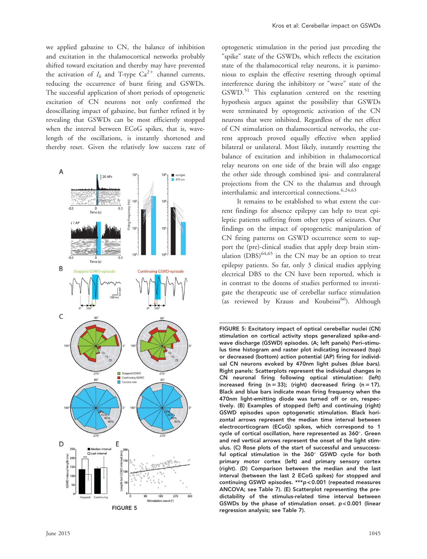we applied gabazine to CN, the balance of inhibition and excitation in the thalamocortical networks probably shifted toward excitation and thereby may have prevented the activation of  $I_h$  and T-type  $Ca^{2+}$  channel currents, reducing the occurrence of burst firing and GSWDs. The successful application of short periods of optogenetic excitation of CN neurons not only confirmed the deoscillating impact of gabazine, but further refined it by revealing that GSWDs can be most efficiently stopped when the interval between ECoG spikes, that is, wavelength of the oscillations, is instantly shortened and thereby reset. Given the relatively low success rate of



optogenetic stimulation in the period just preceding the "spike" state of the GSWDs, which reflects the excitation state of the thalamocortical relay neurons, it is parsimonious to explain the effective resetting through optimal interference during the inhibitory or "wave" state of the GSWD.<sup>51</sup> This explanation centered on the resetting hypothesis argues against the possibility that GSWDs were terminated by optogenetic activation of the CN neurons that were inhibited. Regardless of the net effect of CN stimulation on thalamocortical networks, the current approach proved equally effective when applied bilateral or unilateral. Most likely, instantly resetting the balance of excitation and inhibition in thalamocortical relay neurons on one side of the brain will also engage the other side through combined ipsi- and contralateral projections from the CN to the thalamus and through interthalamic and intercortical connections.<sup>6,24,63</sup>

It remains to be established to what extent the current findings for absence epilepsy can help to treat epileptic patients suffering from other types of seizures. Our findings on the impact of optogenetic manipulation of CN firing patterns on GSWD occurrence seem to support the (pre)-clinical studies that apply deep brain stimulation  $(DBS)^{64,65}$  in the CN may be an option to treat epilepsy patients. So far, only 3 clinical studies applying electrical DBS to the CN have been reported, which is in contrast to the dozens of studies performed to investigate the therapeutic use of cerebellar surface stimulation (as reviewed by Krauss and Koubeissi<sup>66</sup>). Although

FIGURE 5: Excitatory impact of optical cerebellar nuclei (CN) stimulation on cortical activity stops generalized spike-andwave discharge (GSWD) episodes. (A; left panels) Peri–stimulus time histogram and raster plot indicating increased (top) or decreased (bottom) action potential (AP) firing for individual CN neurons evoked by 470nm light pulses (blue bars). Right panels: Scatterplots represent the individual changes in CN neuronal firing following optical stimulation: (left) increased firing (n = 33); (right) decreased firing (n = 17). Black and blue bars indicate mean firing frequency when the 470nm light-emitting diode was turned off or on, respectively. (B) Examples of stopped (left) and continuing (right) GSWD episodes upon optogenetic stimulation. Black horizontal arrows represent the median time interval between electrocorticogram (ECoG) spikes, which correspond to 1 cycle of cortical oscillation, here represented as 360°. Green and red vertical arrows represent the onset of the light stimulus. (C) Rose plots of the start of successful and unsuccessful optical stimulation in the 360° GSWD cycle for both primary motor cortex (left) and primary sensory cortex (right). (D) Comparison between the median and the last interval (between the last 2 ECoG spikes) for stopped and continuing GSWD episodes. \*\*\*p < 0.001 (repeated measures ANCOVA; see Table 7). (E) Scatterplot representing the predictability of the stimulus-related time interval between GSWDs by the phase of stimulation onset. p < 0.001 (linear regression analysis; see Table 7).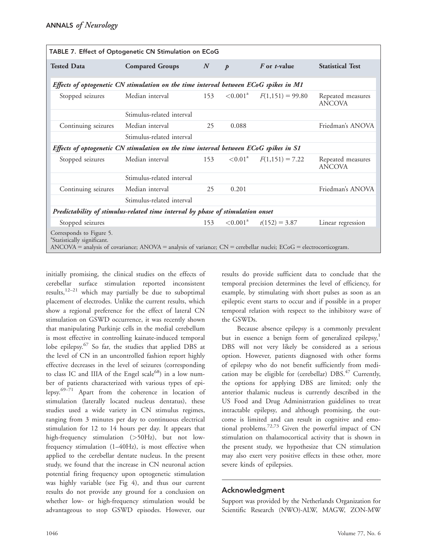| TABLE 7. Effect of Optogenetic CN Stimulation on ECoG                                                                                                                                            |                                                                                      |                  |                      |                             |                                    |  |  |  |
|--------------------------------------------------------------------------------------------------------------------------------------------------------------------------------------------------|--------------------------------------------------------------------------------------|------------------|----------------------|-----------------------------|------------------------------------|--|--|--|
| <b>Tested Data</b>                                                                                                                                                                               | <b>Compared Groups</b>                                                               | $\boldsymbol{N}$ | $\boldsymbol{p}$     | <i>F</i> or <i>t</i> -value | <b>Statistical Test</b>            |  |  |  |
| Effects of optogenetic CN stimulation on the time interval between ECoG spikes in M1                                                                                                             |                                                                                      |                  |                      |                             |                                    |  |  |  |
| Stopped seizures                                                                                                                                                                                 | Median interval                                                                      | 153              | $\leq 0.001^{\rm a}$ | $F(1,151) = 99.80$          | Repeated measures<br><b>ANCOVA</b> |  |  |  |
|                                                                                                                                                                                                  | Stimulus-related interval                                                            |                  |                      |                             |                                    |  |  |  |
| Continuing seizures                                                                                                                                                                              | Median interval                                                                      | 25               | 0.088                |                             | Friedman's ANOVA                   |  |  |  |
|                                                                                                                                                                                                  | Stimulus-related interval                                                            |                  |                      |                             |                                    |  |  |  |
|                                                                                                                                                                                                  | Effects of optogenetic CN stimulation on the time interval between ECoG spikes in S1 |                  |                      |                             |                                    |  |  |  |
| Stopped seizures                                                                                                                                                                                 | Median interval                                                                      | 153              | $\leq 0.01^{\rm a}$  | $F(1,151) = 7.22$           | Repeated measures<br><b>ANCOVA</b> |  |  |  |
|                                                                                                                                                                                                  | Stimulus-related interval                                                            |                  |                      |                             |                                    |  |  |  |
| Continuing seizures                                                                                                                                                                              | Median interval                                                                      | 25               | 0.201                |                             | Friedman's ANOVA                   |  |  |  |
|                                                                                                                                                                                                  | Stimulus-related interval                                                            |                  |                      |                             |                                    |  |  |  |
|                                                                                                                                                                                                  | Predictability of stimulus-related time interval by phase of stimulation onset       |                  |                      |                             |                                    |  |  |  |
| Stopped seizures                                                                                                                                                                                 |                                                                                      | 153              | ${<}0.001^a$         | $t(152) = 3.87$             | Linear regression                  |  |  |  |
| Corresponds to Figure 5.<br><sup>a</sup> Statistically significant.<br>$ANCOVA$ = analysis of covariance; $ANOVA$ = analysis of variance; $CN$ = cerebellar nuclei; $ECoG$ = electrocorticogram. |                                                                                      |                  |                      |                             |                                    |  |  |  |

initially promising, the clinical studies on the effects of cerebellar surface stimulation reported inconsistent results, $12-21$  which may partially be due to suboptimal placement of electrodes. Unlike the current results, which show a regional preference for the effect of lateral CN stimulation on GSWD occurrence, it was recently shown that manipulating Purkinje cells in the medial cerebellum is most effective in controlling kainate-induced temporal lobe epilepsy.<sup>67</sup> So far, the studies that applied DBS at the level of CN in an uncontrolled fashion report highly effective decreases in the level of seizures (corresponding to class IC and IIIA of the Engel scale<sup>68</sup>) in a low number of patients characterized with various types of epilepsy.69–71 Apart from the coherence in location of stimulation (laterally located nucleus dentatus), these studies used a wide variety in CN stimulus regimes, ranging from 3 minutes per day to continuous electrical stimulation for 12 to 14 hours per day. It appears that high-frequency stimulation (>50Hz), but not lowfrequency stimulation (1–40Hz), is most effective when applied to the cerebellar dentate nucleus. In the present study, we found that the increase in CN neuronal action potential firing frequency upon optogenetic stimulation was highly variable (see Fig 4), and thus our current results do not provide any ground for a conclusion on whether low- or high-frequency stimulation would be advantageous to stop GSWD episodes. However, our

results do provide sufficient data to conclude that the temporal precision determines the level of efficiency, for example, by stimulating with short pulses as soon as an epileptic event starts to occur and if possible in a proper temporal relation with respect to the inhibitory wave of the GSWDs.

Because absence epilepsy is a commonly prevalent but in essence a benign form of generalized epilepsy,<sup>1</sup> DBS will not very likely be considered as a serious option. However, patients diagnosed with other forms of epilepsy who do not benefit sufficiently from medication may be eligible for (cerebellar)  $DBS<sup>47</sup>$  Currently, the options for applying DBS are limited; only the anterior thalamic nucleus is currently described in the US Food and Drug Administration guidelines to treat intractable epilepsy, and although promising, the outcome is limited and can result in cognitive and emotional problems.72,73 Given the powerful impact of CN stimulation on thalamocortical activity that is shown in the present study, we hypothesize that CN stimulation may also exert very positive effects in these other, more severe kinds of epilepsies.

# Acknowledgment

Support was provided by the Netherlands Organization for Scientific Research (NWO)-ALW, MAGW, ZON-MW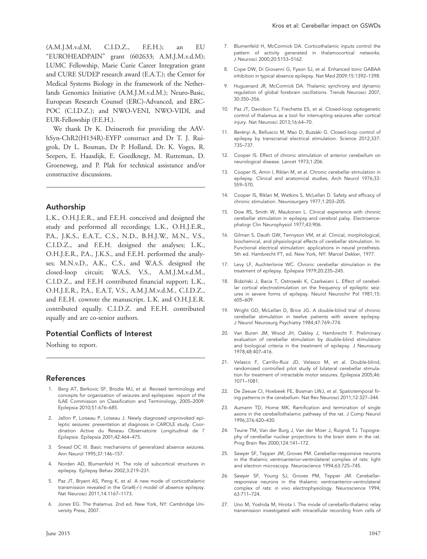(A.M.J.M.v.d.M, C.I.D.Z., F.E.H.); an EU "EUROHEADPAIN" grant (602633; A.M.J.M.v.d.M); LUMC Fellowship, Marie Curie Career Integration grant and CURE SUDEP research award (E.A.T.); the Center for Medical Systems Biology in the framework of the Netherlands Genomics Initiative (A.M.J.M.v.d.M.); Neuro-Basic, European Research Counsel (ERC)-Advanced, and ERC-POC (C.I.D.Z.); and NWO-VENI, NWO-VIDI, and EUR-Fellowship (F.E.H.).

We thank Dr K. Deisseroth for providing the AAVhSyn-ChR2(H134R)-EYFP construct and Dr T. J. Ruigrok, Dr L. Bosman, Dr P. Holland, Dr. K. Voges, R. Seepers, E. Haasdijk, E. Goedknegt, M. Rutteman, D. Groeneweg, and P. Plak for technical assistance and/or constructive discussions.

## Authorship

L.K., O.H.J.E.R., and F.E.H. conceived and designed the study and performed all recordings; L.K., O.H.J.E.R., P.A., J.K.S., E.A.T., C.S., N.D., B.H.J.W., M.N., V.S., C.I.D.Z., and F.E.H. designed the analyses; L.K., O.H.J.E.R., P.A., J.K.S., and F.E.H. performed the analyses; M.N.v.D., A.K., C.S., and W.A.S. designed the closed-loop circuit; W.A.S, V.S., A.M.J.M.v.d.M., C.I.D.Z., and F.E.H contributed financial support; L.K., O.H.J.E.R., P.A., E.A.T, V.S., A.M.J.M.v.d.M., C.I.D.Z., and F.E.H. cowrote the manuscript. L.K. and O.H.J.E.R. contributed equally. C.I.D.Z. and F.E.H. contributed equally and are co-senior authors.

# Potential Conflicts of Interest

Nothing to report.

#### References

- 1. Berg AT, Berkovic SF, Brodie MJ, et al. Revised terminology and concepts for organization of seizures and epilepsies: report of the ILAE Commission on Classification and Terminology, 2005–2009. Epilepsia 2010;51:676–685.
- 2. Jallon P, Loiseau P, Loiseau J. Newly diagnosed unprovoked epileptic seizures: presentation at diagnosis in CAROLE study. Coordination Active du Reseau Observatoire Longitudinal de l' Epilepsie. Epilepsia 2001;42:464–475.
- 3. Snead OC III. Basic mechanisms of generalized absence seizures. Ann Neurol 1995;37:146–157.
- 4. Norden AD, Blumenfeld H. The role of subcortical structures in epilepsy. Epilepsy Behav 2002;3:219–231.
- 5. Paz JT, Bryant AS, Peng K, et al. A new mode of corticothalamic transmission revealed in the Gria4(-/-) model of absence epilepsy. Nat Neurosci 2011;14:1167–1173.
- 6. Jones EG. The thalamus. 2nd ed. New York, NY: Cambridge University Press, 2007.
- 7. Blumenfeld H, McCormick DA. Corticothalamic inputs control the pattern of activity generated in thalamocortical networks. J Neurosci 2000;20:5153–5162.
- 8. Cope DW, Di Giovanni G, Fyson SJ, et al. Enhanced tonic GABAA inhibition in typical absence epilepsy. Nat Med 2009;15:1392–1398.
- 9. Huguenard JR, McCormick DA. Thalamic synchrony and dynamic regulation of global forebrain oscillations. Trends Neurosci 2007; 30:350–356.
- 10. Paz JT, Davidson TJ, Frechette ES, et al. Closed-loop optogenetic control of thalamus as a tool for interrupting seizures after cortical injury. Nat Neurosci 2013;16:64–70.
- 11. Berényi A, Belluscio M, Mao D, Buzsàki G. Closed-loop control of epilepsy by transcranial electrical stimulation. Science 2012;337: 735–737.
- 12. Cooper IS. Effect of chronic stimulation of anterior cerebellum on neurological disease. Lancet 1973;1:206.
- 13. Cooper IS, Amin I, Riklan M, et al. Chronic cerebellar stimulation in epilepsy. Clinical and anatomical studies. Arch Neurol 1976;33: 559–570.
- 14. Cooper IS, Riklan M, Watkins S, McLellan D. Safety and efficacy of chronic stimulation. Neurosurgery 1977;1:203–205.
- 15. Dow RS, Smith W, Maukonen L. Clinical experience with chronic cerebellar stimulation in epilepsy and cerebral palsy. Electroencephalogr Clin Neurophysiol 1977;43:906.
- 16. Gilman S, Dauth GW, Tennyson VM, et al. Clinical, morphological, biochemical, and physiological effects of cerebellar stimulation. In: Functional electrical stimulation: applications in neural prosthesis. 5th ed. Hambrecht FT, ed. New York, NY: Marcel Dekker, 1977.
- 17. Levy LF, Auchterlonie WC. Chronic cerebellar stimulation in the treatment of epilepsy. Epilepsia 1979;20:235–245.
- 18. Bidziński J, Bacia T, Ostrowski K, Czarkwiani L. Effect of cerebellar cortical electrostimulation on the frequency of epileptic seizures in severe forms of epilepsy. Neurol Neurochir Pol 1981;15: 605–609.
- 19. Wright GD, McLellan D, Brice JG. A double-blind trial of chronic cerebellar stimulation in twelve patients with severe epilepsy. J Neurol Neurosurg Psychiatry 1984;47:769–774.
- 20. Van Buren JM, Wood JH, Oakley J, Hambrecht F. Preliminary evaluation of cerebellar stimulation by double-blind stimulation and biological criteria in the treatment of epilepsy. J Neurosurg 1978;48:407–416.
- 21. Velasco F, Carrillo-Ruiz JD, Velasco M, et al. Double-blind, randomized controlled pilot study of bilateral cerebellar stimulation for treatment of intractable motor seizures. Epilepsia 2005;46: 1071–1081.
- 22. De Zeeuw CI, Hoebeek FE, Bosman LWJ, et al. Spatiotemporal firing patterns in the cerebellum. Nat Rev Neurosci 2011;12:327–344.
- 23. Aumann TD, Horne MK. Ramification and termination of single axons in the cerebellothalamic pathway of the rat. J Comp Neurol 1996;376:420–430.
- 24. Teune TM, Van der Burg J, Van der Moer J, Ruigrok TJ. Topography of cerebellar nuclear projections to the brain stem in the rat. Prog Brain Res 2000;124:141–172.
- 25. Sawyer SF, Tepper JM, Groves PM. Cerebellar-responsive neurons in the thalamic ventroanterior-ventrolateral complex of rats: light and electron microscopy. Neuroscience 1994;63:725–745.
- 26. Sawyer SF, Young SJ, Groves PM, Tepper JM. Cerebellarresponsive neurons in the thalamic ventroanterior-ventrolateral complex of rats: in vivo electrophysiology. Neuroscience 1994; 63:711–724.
- 27. Uno M, Yoshida M, Hirota I. The mode of cerebello-thalamic relay transmission investigated with intracellular recording from cells of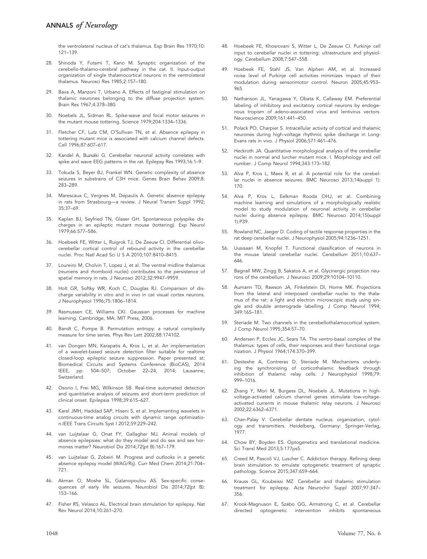the ventrolateral nucleus of cat's thalamus. Exp Brain Res 1970;10: 121–139.

- 28. Shinoda Y, Futami T, Kano M. Synaptic organization of the cerebello-thalamo-cerebral pathway in the cat. II. Input-output organization of single thalamocortical neurons in the ventrolateral thalamus. Neurosci Res 1985;2:157–180.
- 29. Bava A, Manzoni T, Urbano A. Effects of fastiginal stimulation on thalamic neurones belonging to the diffuse projection system. Brain Res 1967;4:378–380.
- 30. Noebels JL, Sidman RL. Spike-wave and focal motor seizures in the mutant mouse tottering. Science 1979;204:1334–1336.
- 31. Fletcher CF, Lutz CM, O'Sullivan TN, et al. Absence epilepsy in tottering mutant mice is associated with calcium channel defects. Cell 1996;87:607–617.
- 32. Kandel A, Buzsáki G. Cerebellar neuronal activity correlates with spike and wave EEG patterns in the rat. Epilepsy Res 1993;16:1–9.
- 33. Tokuda S, Beyer BJ, Frankel WN. Genetic complexity of absence seizures in substrains of C3H mice. Genes Brain Behav 2009;8: 283–289.
- 34. Marescaux C, Vergnes M, Depaulis A. Genetic absence epilepsy in rats from Strasbourg—a review. J Neural Transm Suppl 1992; 35:37–69.
- 35. Kaplan BJ, Seyfried TN, Glaser GH. Spontaneous polyspike discharges in an epileptic mutant mouse (tottering). Exp Neurol 1979;66:577–586.
- 36. Hoebeek FE, Witter L, Ruigrok TJ, De Zeeuw CI. Differential olivocerebellar cortical control of rebound activity in the cerebellar nuclei. Proc Natl Acad Sci U S A 2010;107:8410–8415.
- 37. Loureiro M, Cholvin T, Lopez J, et al. The ventral midline thalamus (reuniens and rhomboid nuclei) contributes to the persistence of spatial memory in rats. J Neurosci 2012;32:9947–9959.
- 38. Holt GR, Softky WR, Koch C, Douglas RJ. Comparison of discharge variability in vitro and in vivo in cat visual cortex neurons. J Neurophysiol 1996;75:1806–1814.
- 39. Rasmussen CE, Williams CKI. Gaussian processes for machine learning. Cambridge, MA: MIT Press, 2006.
- 40. Bandt C, Pompe B. Permutation entropy: a natural complexity measure for time series. Phys Rev Lett 2002;88:174102.
- 41. van Dongen MN, Karapatis A, Kros L, et al. An implementation of a wavelet-based seizure detection filter suitable for realtime closed-loop epileptic seizure suppression. Paper presented at: Biomedical Circuits and Systems Conference (BioCAS), 2014 IEEE, pp. 504–507; October 22–24, 2014; Lausanne, Switzerland.
- 42. Osorio I, Frei MG, Wilkinson SB. Real-time automated detection and quantitative analysis of seizures and short-term prediction of clinical onset. Epilepsia 1998;39:615–627.
- 43. Karel JMH, Haddad SAP, Hiseni S, et al. Implementing wavelets in continuous-time analog circuits with dynamic range optimization.IEEE Trans Circuits Syst I 2012;59:229–242.
- 44. van Luijtelaar G, Onat FY, Gallagher MJ. Animal models of absence epilepsies: what do they model and do sex and sex hormones matter? Neurobiol Dis 2014;72(pt B):167–179.
- 45. van Luijtelaar G, Zobeiri M. Progress and outlooks in a genetic absence epilepsy model (WAG/Rij). Curr Med Chem 2014;21:704– 721.
- 46. Akman O, Moshe SL, Galanopoulou AS. Sex-specific consequences of early life seizures. Neurobiol Dis 2014;72(pt B): 153–166.
- 47. Fisher RS, Velasco AL. Electrical brain stimulation for epilepsy. Nat Rev Neurol 2014;10:261–270.
- 48. Hoebeek FE, Khosrovani S, Witter L, De Zeeuw CI. Purkinje cell input to cerebellar nuclei in tottering: ultrastructure and physiology. Cerebellum 2008;7:547–558.
- 49. Hoebeek FE, Stahl JS, Van Alphen AM, et al. Increased noise level of Purkinje cell activities minimizes impact of their modulation during sensorimotor control. Neuron 2005;45:953– 965.
- 50. Nathanson JL, Yanagawa Y, Obata K, Callaway EM. Preferential labeling of inhibitory and excitatory cortical neurons by endogenous tropism of adeno-associated virus and lentivirus vectors. Neuroscience 2009;161:441–450.
- 51. Polack PO, Charpier S. Intracellular activity of cortical and thalamic neurones during high-voltage rhythmic spike discharge in Long-Evans rats in vivo. J Physiol 2006;571:461–476.
- 52. Heckroth JA. Quantitative morphological analysis of the cerebellar nuclei in normal and lurcher mutant mice. I. Morphology and cell number. J Comp Neurol 1994;343:173–182.
- 53. Alva P, Kros L, Maex R, et al. A potential role for the cerebellar nuclei in absence seizures. BMC Neurosci 2013;14(suppl 1): 170.
- 54. Alva P, Kros L, Eelkman Rooda OHJ, et al. Combining machine learning and simulations of a morphologically realistic model to study modulation of neuronal activity in cerebellar nuclei during absence epilepsy. BMC Neurosci 2014;15(suppl 1):P39.
- 55. Rowland NC, Jaeger D. Coding of tactile response properties in the rat deep cerebellar nuclei. J Neurophysiol 2005;94:1236–1251.
- 56. Uusisaari M, Knopfel T. Functional classification of neurons in the mouse lateral cerebellar nuclei. Cerebellum 2011;10:637– 646.
- 57. Bagnall MW, Zingg B, Sakatos A, et al. Glycinergic projection neurons of the cerebellum. J Neurosci 2009;29:10104–10110.
- 58. Aumann TD, Rawson JA, Finkelstein DI, Horne MK. Projections from the lateral and interposed cerebellar nuclei to the thalamus of the rat: a light and electron microscopic study using single and double anterograde labelling. J Comp Neurol 1994; 349:165–181.
- 59. Steriade M. Two channels in the cerebellothalamocortical system. J Comp Neurol 1995;354:57–70.
- 60. Andersen P, Eccles JC, Sears TA. The ventro-basal complex of the thalamus: types of cells, their responses and their functional organization. J Physiol 1964;174:370–399.
- 61. Destexhe A, Contreras D, Steriade M. Mechanisms underlying the synchronizing of corticothalamic feedback through inhibition of thalamic relay cells. J Neurophysiol 1998;79: 999–1016.
- 62. Zhang Y, Mori M, Burgess DL, Noebels JL. Mutations in highvoltage-activated calcium channel genes stimulate low-voltageactivated currents in mouse thalamic relay neurons. J Neurosci 2002;22:6362–6371.
- 63. Chan-Palay V. Cerebellar dentate nucleus: organization, cytology and transmitters. Heidelberg, Germany: Springer-Verlag, 1977.
- 64. Chow BY, Boyden ES. Optogenetics and translational medicine. Sci Transl Med 2013;5:177ps5.
- 65. Creed M, Pascoli VJ, Luscher C. Addiction therapy. Refining deep brain stimulation to emulate optogenetic treatment of synaptic pathology. Science 2015;347:659–664.
- 66. Krauss GL, Koubeissi MZ. Cerebellar and thalamic stimulation treatment for epilepsy. Acta Neurochir Suppl 2007;97:347– 356.
- 67. Krook-Magnuson E, Szabo GG, Armstrong C, et al. Cerebellar directed optogenetic intervention inhibits spontaneous